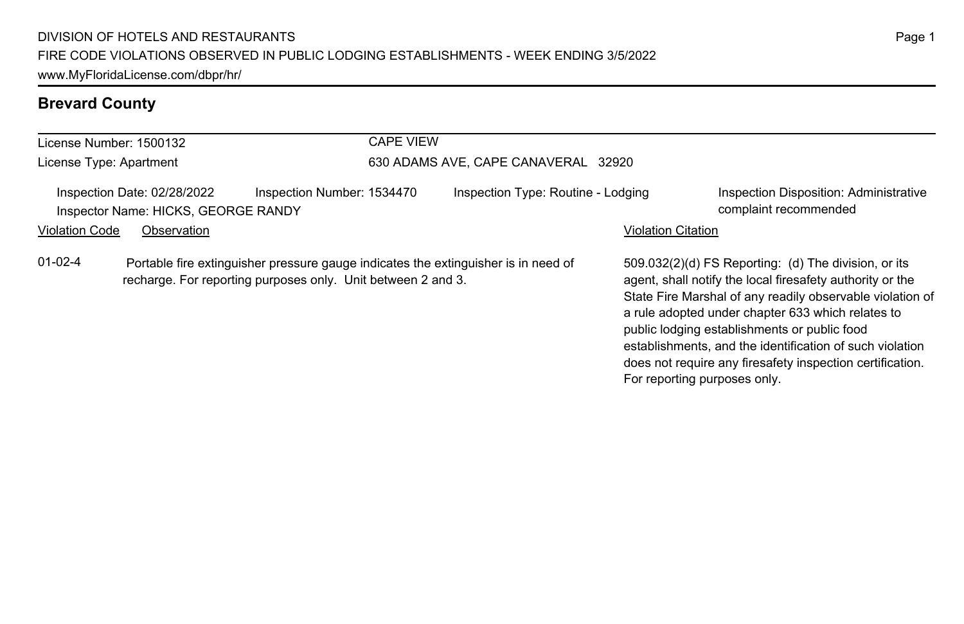| License Number: 1500132 |                                                                    |                            | <b>CAPE VIEW</b> |                                                                                    |                              |                                                                                                                                                                                                                                                                                                                                                                                                              |
|-------------------------|--------------------------------------------------------------------|----------------------------|------------------|------------------------------------------------------------------------------------|------------------------------|--------------------------------------------------------------------------------------------------------------------------------------------------------------------------------------------------------------------------------------------------------------------------------------------------------------------------------------------------------------------------------------------------------------|
| License Type: Apartment |                                                                    |                            |                  | 630 ADAMS AVE, CAPE CANAVERAL 32920                                                |                              |                                                                                                                                                                                                                                                                                                                                                                                                              |
|                         | Inspection Date: 02/28/2022<br>Inspector Name: HICKS, GEORGE RANDY | Inspection Number: 1534470 |                  | Inspection Type: Routine - Lodging                                                 |                              | Inspection Disposition: Administrative<br>complaint recommended                                                                                                                                                                                                                                                                                                                                              |
| <b>Violation Code</b>   | Observation                                                        |                            |                  |                                                                                    | <b>Violation Citation</b>    |                                                                                                                                                                                                                                                                                                                                                                                                              |
| $01-02-4$               | recharge. For reporting purposes only. Unit between 2 and 3.       |                            |                  | Portable fire extinguisher pressure gauge indicates the extinguisher is in need of | For reporting purposes only. | 509.032(2)(d) FS Reporting: (d) The division, or its<br>agent, shall notify the local firesafety authority or the<br>State Fire Marshal of any readily observable violation of<br>a rule adopted under chapter 633 which relates to<br>public lodging establishments or public food<br>establishments, and the identification of such violation<br>does not require any firesafety inspection certification. |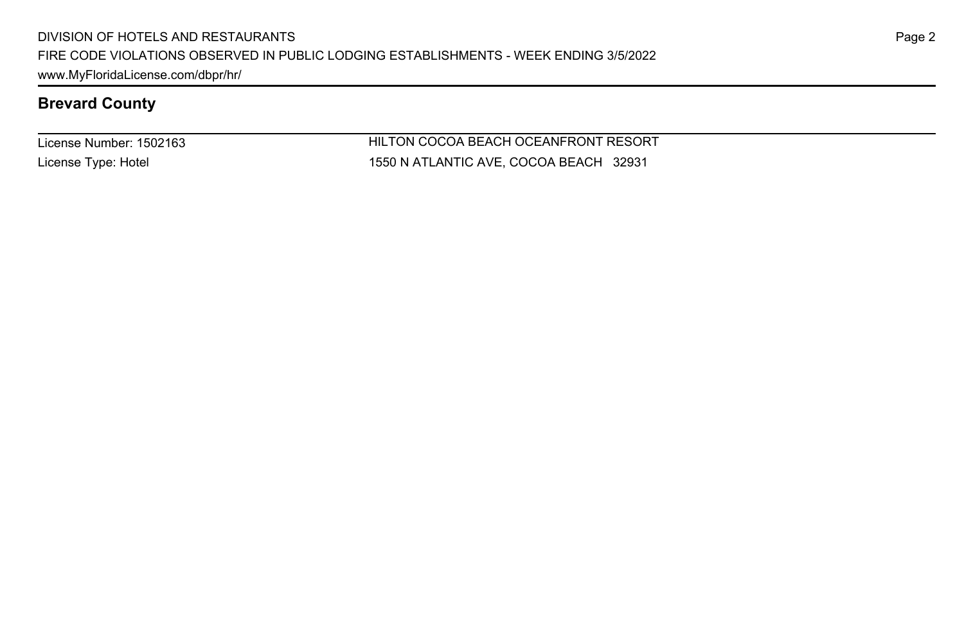License Number: 1502163 License Type: Hotel

HILTON COCOA BEACH OCEANFRONT RESORT 1550 N ATLANTIC AVE, COCOA BEACH 32931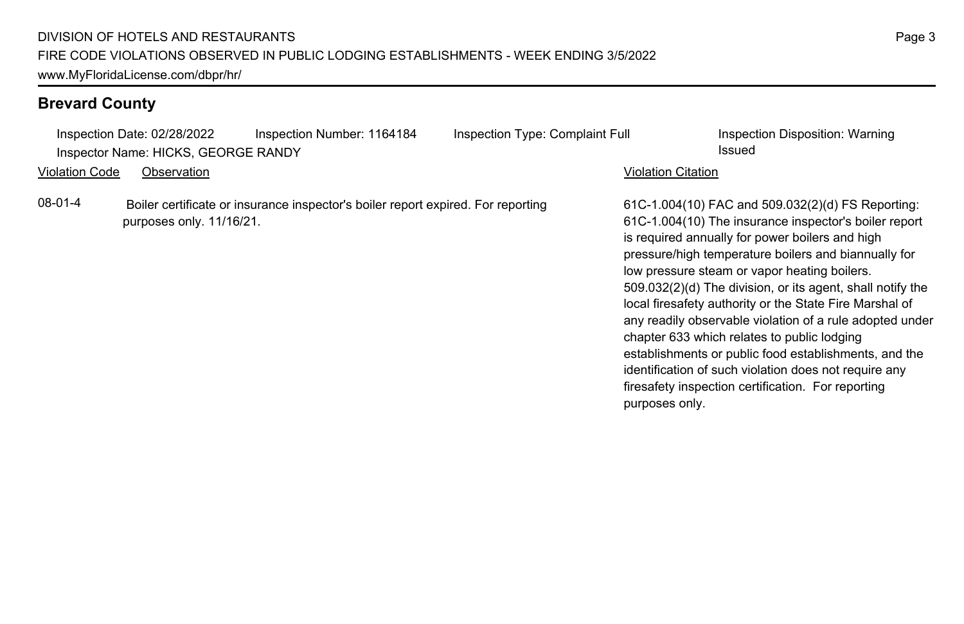Inspection Date: 02/28/2022 Inspection Number: 1164184 Inspection Type: Complaint Full Inspection Disposition: Warning Inspector Name: HICKS, GEORGE RANDY **Inspector Name: HICKS, GEORGE RANDY Issued** 

Violation Code Observation Violation Citation

08-01-4 Boiler certificate or insurance inspector's boiler report expired. For reporting purposes only. 11/16/21.

61C-1.004(10) FAC and 509.032(2)(d) FS Reporting: 61C-1.004(10) The insurance inspector's boiler report is required annually for power boilers and high pressure/high temperature boilers and biannually for low pressure steam or vapor heating boilers. 509.032(2)(d) The division, or its agent, shall notify the local firesafety authority or the State Fire Marshal of any readily observable violation of a rule adopted under chapter 633 which relates to public lodging establishments or public food establishments, and the identification of such violation does not require any firesafety inspection certification. For reporting purposes only.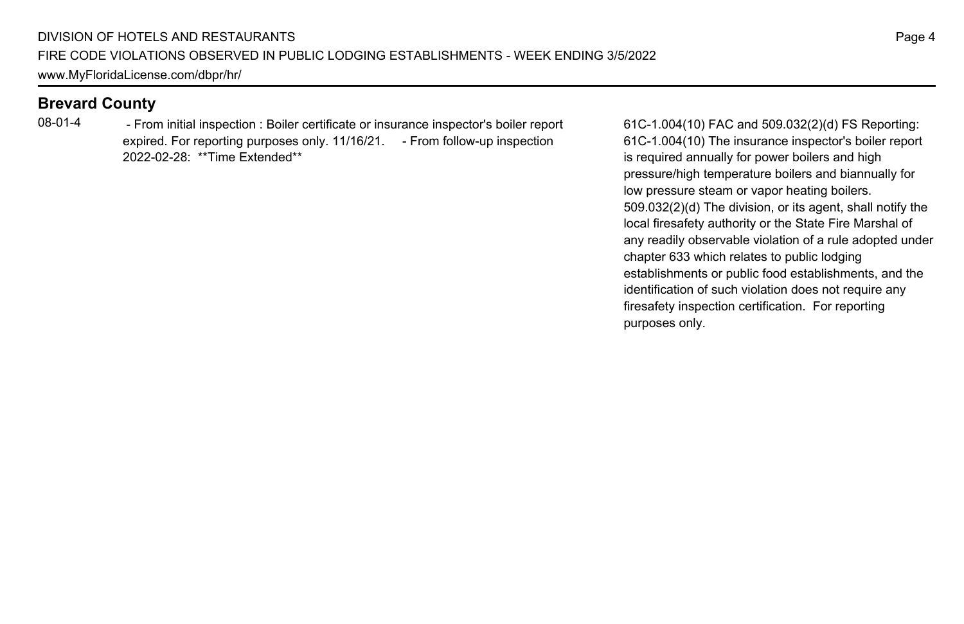08-01-4 - From initial inspection : Boiler certificate or insurance inspector's boiler report expired. For reporting purposes only. 11/16/21. - From follow-up inspection 2022-02-28: \*\*Time Extended\*\*

61C-1.004(10) FAC and 509.032(2)(d) FS Reporting: 61C-1.004(10) The insurance inspector's boiler report is required annually for power boilers and high pressure/high temperature boilers and biannually for low pressure steam or vapor heating boilers. 509.032(2)(d) The division, or its agent, shall notify the local firesafety authority or the State Fire Marshal of any readily observable violation of a rule adopted under chapter 633 which relates to public lodging establishments or public food establishments, and the identification of such violation does not require any firesafety inspection certification. For reporting purposes only.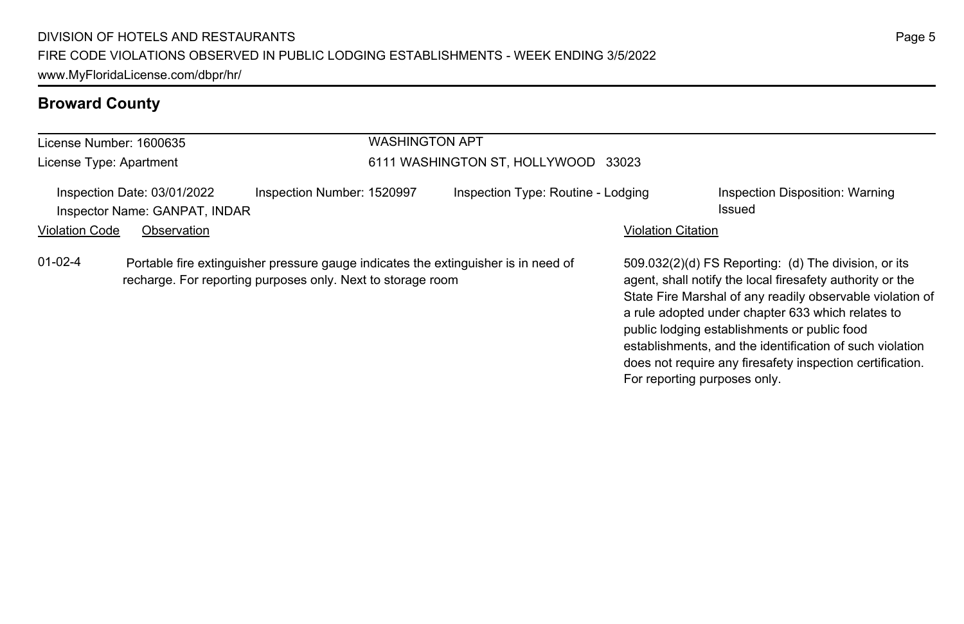| License Number: 1600635 |                                                                                                                                                   | <b>WASHINGTON APT</b>      |                                     |                              |                                                                                                                                                                                                                                                                                                                                                                                                              |
|-------------------------|---------------------------------------------------------------------------------------------------------------------------------------------------|----------------------------|-------------------------------------|------------------------------|--------------------------------------------------------------------------------------------------------------------------------------------------------------------------------------------------------------------------------------------------------------------------------------------------------------------------------------------------------------------------------------------------------------|
| License Type: Apartment |                                                                                                                                                   |                            | 6111 WASHINGTON ST, HOLLYWOOD 33023 |                              |                                                                                                                                                                                                                                                                                                                                                                                                              |
|                         | Inspection Date: 03/01/2022<br>Inspector Name: GANPAT, INDAR                                                                                      | Inspection Number: 1520997 | Inspection Type: Routine - Lodging  |                              | Inspection Disposition: Warning<br>Issued                                                                                                                                                                                                                                                                                                                                                                    |
| <b>Violation Code</b>   | Observation                                                                                                                                       |                            |                                     | <b>Violation Citation</b>    |                                                                                                                                                                                                                                                                                                                                                                                                              |
| $01 - 02 - 4$           | Portable fire extinguisher pressure gauge indicates the extinguisher is in need of<br>recharge. For reporting purposes only. Next to storage room |                            |                                     | For reporting purposes only. | 509.032(2)(d) FS Reporting: (d) The division, or its<br>agent, shall notify the local firesafety authority or the<br>State Fire Marshal of any readily observable violation of<br>a rule adopted under chapter 633 which relates to<br>public lodging establishments or public food<br>establishments, and the identification of such violation<br>does not require any firesafety inspection certification. |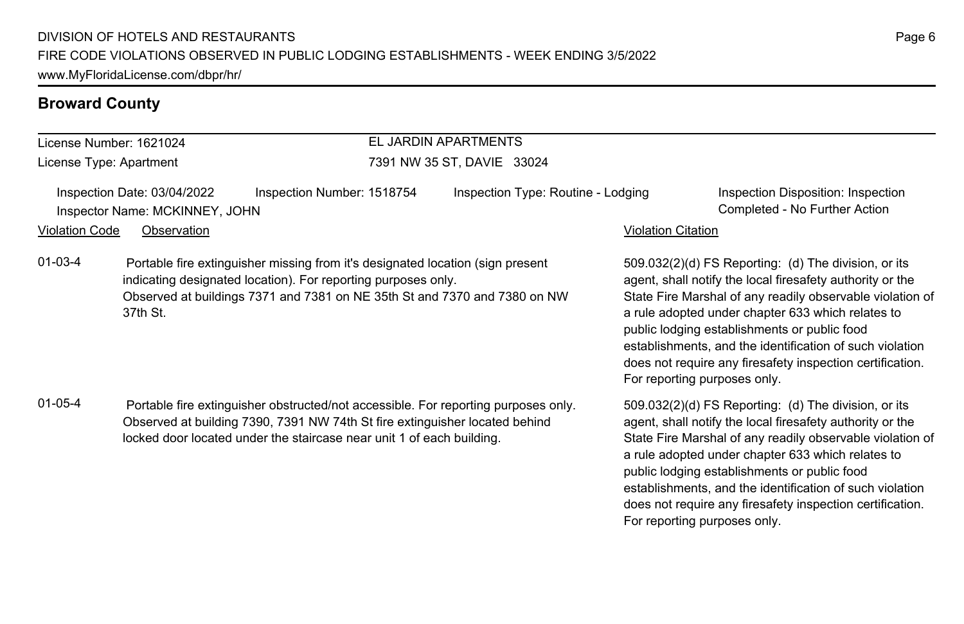# License Number: 1621024

License Type: Apartment

### EL JARDIN APARTMENTS 7391 NW 35 ST, DAVIE 33024

Inspection Date: 03/04/2022 Inspection Number: 1518754 Inspection Type: Routine - Lodging Inspection Disposition: Inspection Inspector Name: MCKINNEY, JOHN Completed - No Further Action

### Violation Code Observation Violation Citation

01-03-4 Portable fire extinguisher missing from it's designated location (sign present indicating designated location). For reporting purposes only. Observed at buildings 7371 and 7381 on NE 35th St and 7370 and 7380 on NW 37th St.

01-05-4 Portable fire extinguisher obstructed/not accessible. For reporting purposes only. Observed at building 7390, 7391 NW 74th St fire extinguisher located behind locked door located under the staircase near unit 1 of each building.

509.032(2)(d) FS Reporting: (d) The division, or its agent, shall notify the local firesafety authority or the State Fire Marshal of any readily observable violation of a rule adopted under chapter 633 which relates to public lodging establishments or public food establishments, and the identification of such violation does not require any firesafety inspection certification. For reporting purposes only.

509.032(2)(d) FS Reporting: (d) The division, or its agent, shall notify the local firesafety authority or the State Fire Marshal of any readily observable violation of a rule adopted under chapter 633 which relates to public lodging establishments or public food establishments, and the identification of such violation does not require any firesafety inspection certification. For reporting purposes only.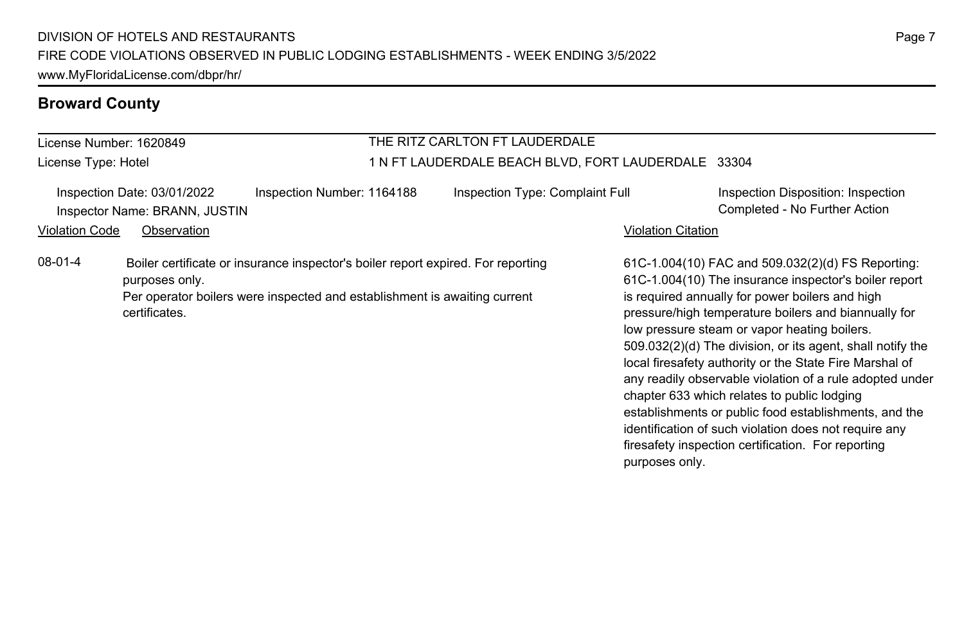# License Number: 1620849

License Type: Hotel

# THE RITZ CARLTON FT LAUDERDALE

## 1 N FT LAUDERDALE BEACH BLVD, FORT LAUDERDALE 33304

|                       | Inspection Date: 03/01/2022<br>Inspector Name: BRANN, JUSTIN | Inspection Number: 1164188                                                                                                                                    | Inspection Type: Complaint Full |                           | Inspection Disposition: Inspection<br>Completed - No Further Action                                                                                                                                                                                                                                                                                                                                                                                                                                                                                                                                                                                                               |
|-----------------------|--------------------------------------------------------------|---------------------------------------------------------------------------------------------------------------------------------------------------------------|---------------------------------|---------------------------|-----------------------------------------------------------------------------------------------------------------------------------------------------------------------------------------------------------------------------------------------------------------------------------------------------------------------------------------------------------------------------------------------------------------------------------------------------------------------------------------------------------------------------------------------------------------------------------------------------------------------------------------------------------------------------------|
| <b>Violation Code</b> | Observation                                                  |                                                                                                                                                               |                                 | <b>Violation Citation</b> |                                                                                                                                                                                                                                                                                                                                                                                                                                                                                                                                                                                                                                                                                   |
| 08-01-4               | purposes only.<br>certificates.                              | Boiler certificate or insurance inspector's boiler report expired. For reporting<br>Per operator boilers were inspected and establishment is awaiting current |                                 | purposes only.            | 61C-1.004(10) FAC and 509.032(2)(d) FS Reporting:<br>61C-1.004(10) The insurance inspector's boiler report<br>is required annually for power boilers and high<br>pressure/high temperature boilers and biannually for<br>low pressure steam or vapor heating boilers.<br>509.032(2)(d) The division, or its agent, shall notify the<br>local firesafety authority or the State Fire Marshal of<br>any readily observable violation of a rule adopted under<br>chapter 633 which relates to public lodging<br>establishments or public food establishments, and the<br>identification of such violation does not require any<br>firesafety inspection certification. For reporting |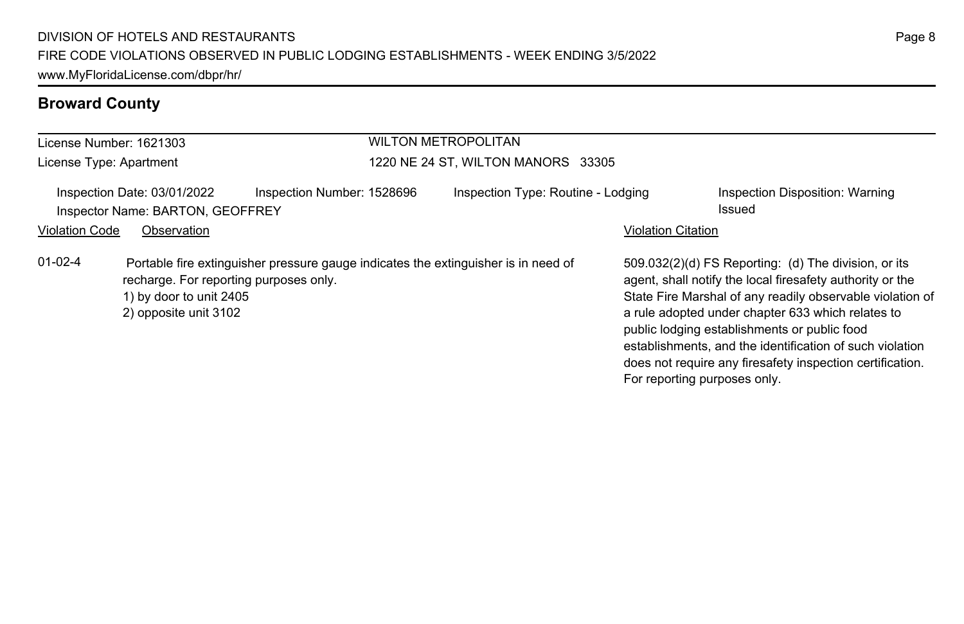| License Number: 1621303 |                                                                                            |                            |                                    | <b>WILTON METROPOLITAN</b>                                                         |                              |                                                                                                                                                                                                                                                                                                                                                                                                              |  |
|-------------------------|--------------------------------------------------------------------------------------------|----------------------------|------------------------------------|------------------------------------------------------------------------------------|------------------------------|--------------------------------------------------------------------------------------------------------------------------------------------------------------------------------------------------------------------------------------------------------------------------------------------------------------------------------------------------------------------------------------------------------------|--|
| License Type: Apartment |                                                                                            |                            | 1220 NE 24 ST, WILTON MANORS 33305 |                                                                                    |                              |                                                                                                                                                                                                                                                                                                                                                                                                              |  |
|                         | Inspection Date: 03/01/2022<br>Inspector Name: BARTON, GEOFFREY                            | Inspection Number: 1528696 |                                    | Inspection Type: Routine - Lodging                                                 |                              | Inspection Disposition: Warning<br>Issued                                                                                                                                                                                                                                                                                                                                                                    |  |
| <b>Violation Code</b>   | Observation                                                                                |                            |                                    |                                                                                    | <b>Violation Citation</b>    |                                                                                                                                                                                                                                                                                                                                                                                                              |  |
| $01 - 02 - 4$           | recharge. For reporting purposes only.<br>1) by door to unit 2405<br>2) opposite unit 3102 |                            |                                    | Portable fire extinguisher pressure gauge indicates the extinguisher is in need of | For reporting purposes only. | 509.032(2)(d) FS Reporting: (d) The division, or its<br>agent, shall notify the local firesafety authority or the<br>State Fire Marshal of any readily observable violation of<br>a rule adopted under chapter 633 which relates to<br>public lodging establishments or public food<br>establishments, and the identification of such violation<br>does not require any firesafety inspection certification. |  |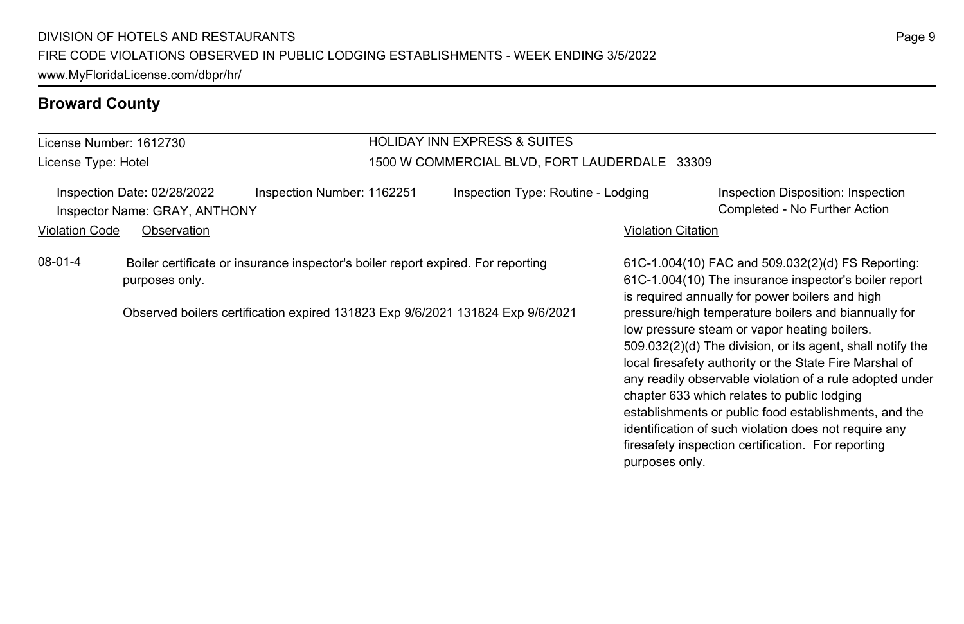#### License Number: 1612730 License Type: Hotel HOLIDAY INN EXPRESS & SUITES 1500 W COMMERCIAL BLVD, FORT LAUDERDALE 33309 Inspection Date: 02/28/2022 Inspection Number: 1162251 Inspection Type: Routine - Lodging Inspection Disposition: Inspection Inspector Name: GRAY, ANTHONY Completed - No Further Action Violation Code Observation **Violation Code** Observation **Violation** Violation Citation Citation Citation Citation 61C-1.004(10) FAC and 509.032(2)(d) FS Reporting: 61C-1.004(10) The insurance inspector's boiler report is required annually for power boilers and high pressure/high temperature boilers and biannually for low pressure steam or vapor heating boilers. 509.032(2)(d) The division, or its agent, shall notify the local firesafety authority or the State Fire Marshal of any readily observable violation of a rule adopted under chapter 633 which relates to public lodging establishments or public food establishments, and the identification of such violation does not require any firesafety inspection certification. For reporting purposes only. 08-01-4 Boiler certificate or insurance inspector's boiler report expired. For reporting purposes only. Observed boilers certification expired 131823 Exp 9/6/2021 131824 Exp 9/6/2021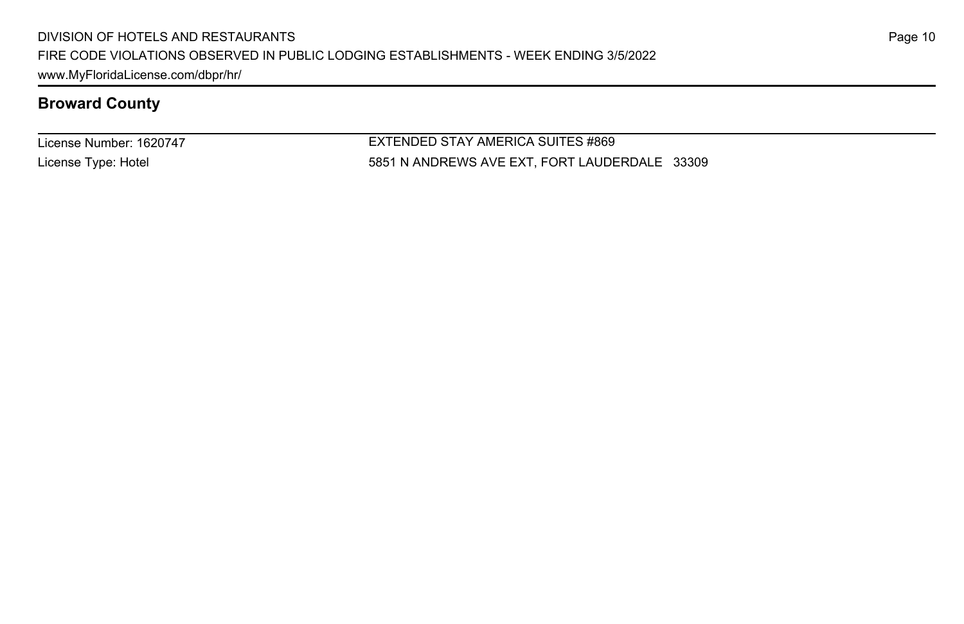License Number: 1620747 License Type: Hotel

EXTENDED STAY AMERICA SUITES #869 5851 N ANDREWS AVE EXT, FORT LAUDERDALE 33309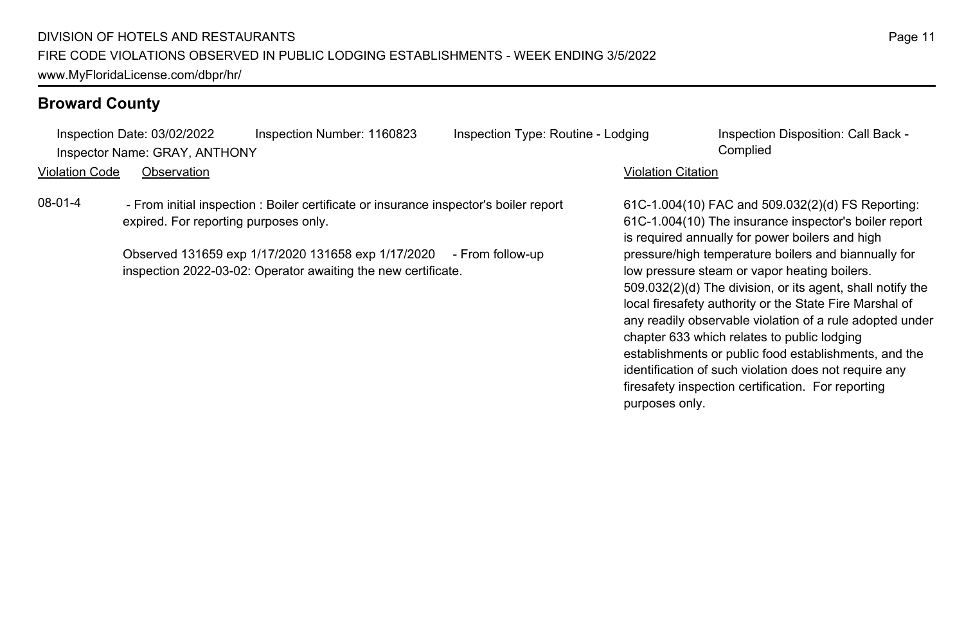Inspection Date: 03/02/2022 Inspection Number: 1160823 Inspection Type: Routine - Lodging Inspection Disposition: Call Back -Inspector Name: GRAY, ANTHONY Complied

Violation Code Observation Violation Citation

08-01-4 - From initial inspection : Boiler certificate or insurance inspector's boiler report expired. For reporting purposes only.

> Observed 131659 exp 1/17/2020 131658 exp 1/17/2020 - From follow-up inspection 2022-03-02: Operator awaiting the new certificate.

61C-1.004(10) FAC and 509.032(2)(d) FS Reporting: 61C-1.004(10) The insurance inspector's boiler report is required annually for power boilers and high pressure/high temperature boilers and biannually for low pressure steam or vapor heating boilers. 509.032(2)(d) The division, or its agent, shall notify the local firesafety authority or the State Fire Marshal of any readily observable violation of a rule adopted under chapter 633 which relates to public lodging establishments or public food establishments, and the identification of such violation does not require any firesafety inspection certification. For reporting purposes only.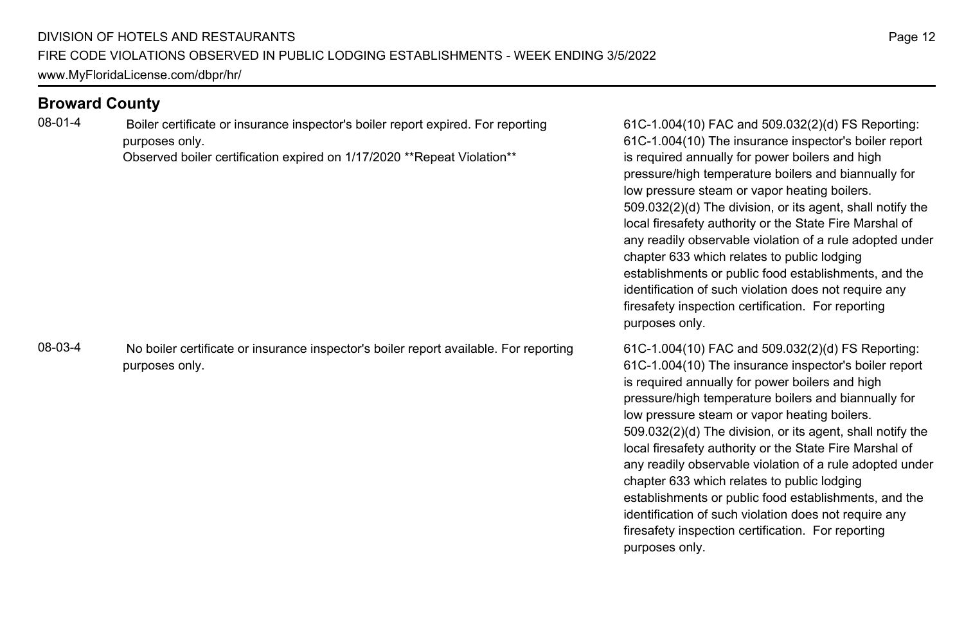08-01-4 Boiler certificate or insurance inspector's boiler report expired. For reporting purposes only.

Observed boiler certification expired on 1/17/2020 \*\*Repeat Violation\*\*

08-03-4 No boiler certificate or insurance inspector's boiler report available. For reporting purposes only.

61C-1.004(10) FAC and 509.032(2)(d) FS Reporting: 61C-1.004(10) The insurance inspector's boiler report is required annually for power boilers and high pressure/high temperature boilers and biannually for low pressure steam or vapor heating boilers. 509.032(2)(d) The division, or its agent, shall notify the local firesafety authority or the State Fire Marshal of any readily observable violation of a rule adopted under chapter 633 which relates to public lodging establishments or public food establishments, and the identification of such violation does not require any firesafety inspection certification. For reporting purposes only.

61C-1.004(10) FAC and 509.032(2)(d) FS Reporting: 61C-1.004(10) The insurance inspector's boiler report is required annually for power boilers and high pressure/high temperature boilers and biannually for low pressure steam or vapor heating boilers. 509.032(2)(d) The division, or its agent, shall notify the local firesafety authority or the State Fire Marshal of any readily observable violation of a rule adopted under chapter 633 which relates to public lodging establishments or public food establishments, and the identification of such violation does not require any firesafety inspection certification. For reporting purposes only.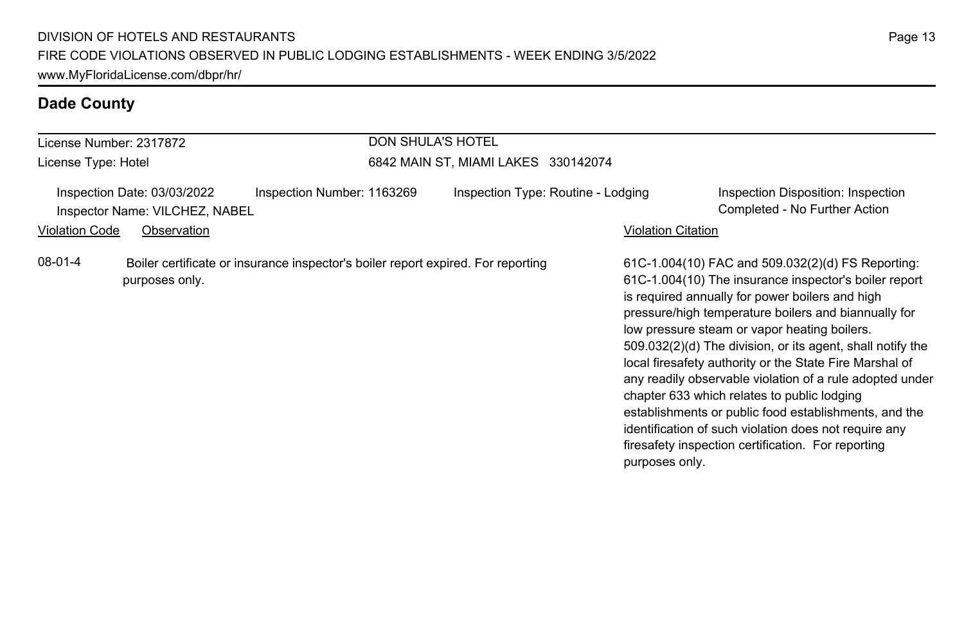| License Number: 2317872                                                                        |                | DON SHULA'S HOTEL                                                                |                                     |                                                          |                |                                                                                                                                                                                                                                                                                                                                                                                                                                                                                                                                                                                                                                                                                   |
|------------------------------------------------------------------------------------------------|----------------|----------------------------------------------------------------------------------|-------------------------------------|----------------------------------------------------------|----------------|-----------------------------------------------------------------------------------------------------------------------------------------------------------------------------------------------------------------------------------------------------------------------------------------------------------------------------------------------------------------------------------------------------------------------------------------------------------------------------------------------------------------------------------------------------------------------------------------------------------------------------------------------------------------------------------|
| License Type: Hotel                                                                            |                |                                                                                  | 6842 MAIN ST, MIAMI LAKES 330142074 |                                                          |                |                                                                                                                                                                                                                                                                                                                                                                                                                                                                                                                                                                                                                                                                                   |
| Inspection Date: 03/03/2022<br>Inspector Name: VILCHEZ, NABEL<br>Violation Code<br>Observation |                | Inspection Number: 1163269                                                       |                                     | Inspection Type: Routine - Lodging<br>Violation Citation |                | Inspection Disposition: Inspection<br>Completed - No Further Action                                                                                                                                                                                                                                                                                                                                                                                                                                                                                                                                                                                                               |
| 08-01-4                                                                                        | purposes only. | Boiler certificate or insurance inspector's boiler report expired. For reporting |                                     |                                                          | purposes only. | 61C-1.004(10) FAC and 509.032(2)(d) FS Reporting:<br>61C-1.004(10) The insurance inspector's boiler report<br>is required annually for power boilers and high<br>pressure/high temperature boilers and biannually for<br>low pressure steam or vapor heating boilers.<br>509.032(2)(d) The division, or its agent, shall notify the<br>local firesafety authority or the State Fire Marshal of<br>any readily observable violation of a rule adopted under<br>chapter 633 which relates to public lodging<br>establishments or public food establishments, and the<br>identification of such violation does not require any<br>firesafety inspection certification. For reporting |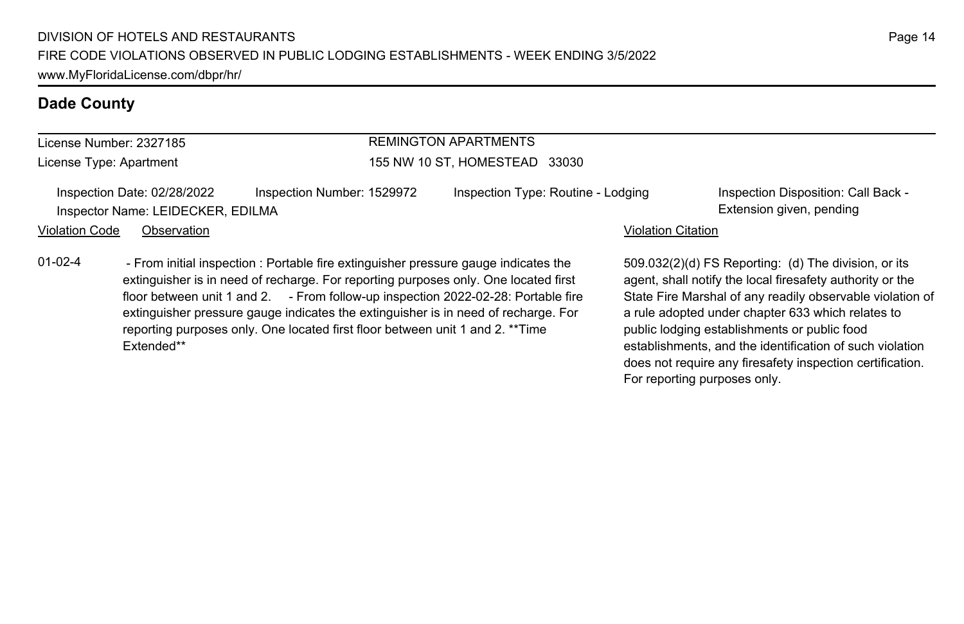extinguisher is in need of recharge. For reporting purposes only. One located first floor between unit 1 and 2. - From follow-up inspection 2022-02-28: Portable fire extinguisher pressure gauge indicates the extinguisher is in need of recharge. For reporting purposes only. One located first floor between unit 1 and 2. \*\*Time

# **Dade County**

# License Number: 2327185

Extended\*\*

License Type: Apartment

## REMINGTON APARTMENTS 155 NW 10 ST, HOMESTEAD 33030

Inspection Date: 02/28/2022 Inspection Number: 1529972 Inspection Type: Routine - Lodging Inspection Disposition: Call Back -Inspector Name: LEIDECKER, EDILMA **Extension given, pending** 

01-02-4 - From initial inspection : Portable fire extinguisher pressure gauge indicates the

### Violation Code Observation **Violation Code** Observation **Violation** Violation Citation Citation Citation Citation

509.032(2)(d) FS Reporting: (d) The division, or its agent, shall notify the local firesafety authority or the State Fire Marshal of any readily observable violation of a rule adopted under chapter 633 which relates to public lodging establishments or public food establishments, and the identification of such violation does not require any firesafety inspection certification. For reporting purposes only.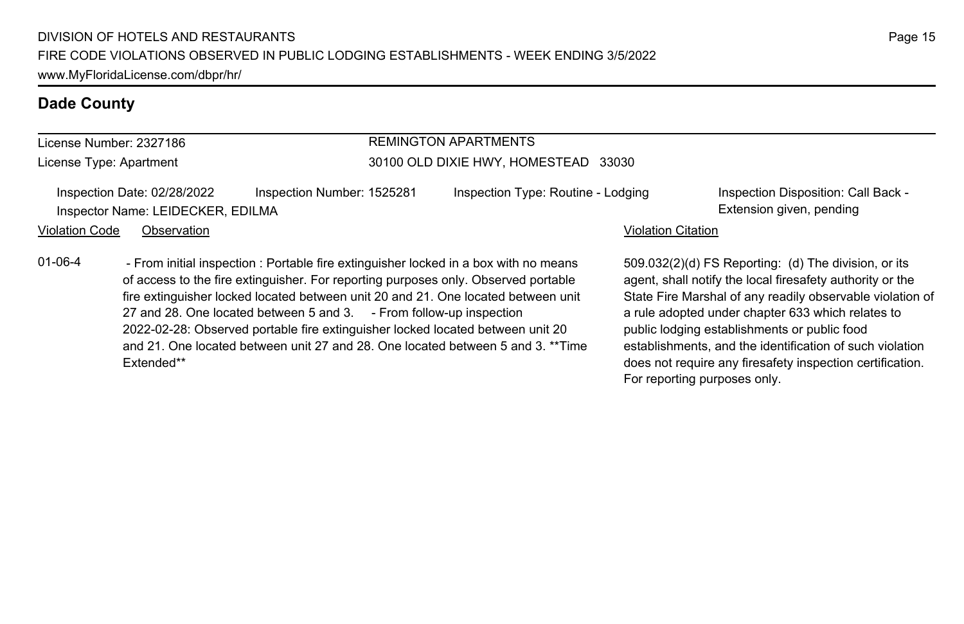# License Number: 2327186

License Type: Apartment

# REMINGTON APARTMENTS

### 30100 OLD DIXIE HWY, HOMESTEAD 33030

Inspection Date: 02/28/2022 Inspection Number: 1525281 Inspection Type: Routine - Lodging Inspection Disposition: Call Back -Inspector Name: LEIDECKER, EDILMA **Extension given, pending** 

### Violation Code Observation **Violation Code** Observation **Violation** Violation Citation Citation Citation Citation

01-06-4 - From initial inspection : Portable fire extinguisher locked in a box with no means of access to the fire extinguisher. For reporting purposes only. Observed portable fire extinguisher locked located between unit 20 and 21. One located between unit 27 and 28. One located between 5 and 3. - From follow-up inspection 2022-02-28: Observed portable fire extinguisher locked located between unit 20 and 21. One located between unit 27 and 28. One located between 5 and 3. \*\*Time Extended\*\*

509.032(2)(d) FS Reporting: (d) The division, or its agent, shall notify the local firesafety authority or the State Fire Marshal of any readily observable violation of a rule adopted under chapter 633 which relates to public lodging establishments or public food establishments, and the identification of such violation does not require any firesafety inspection certification. For reporting purposes only.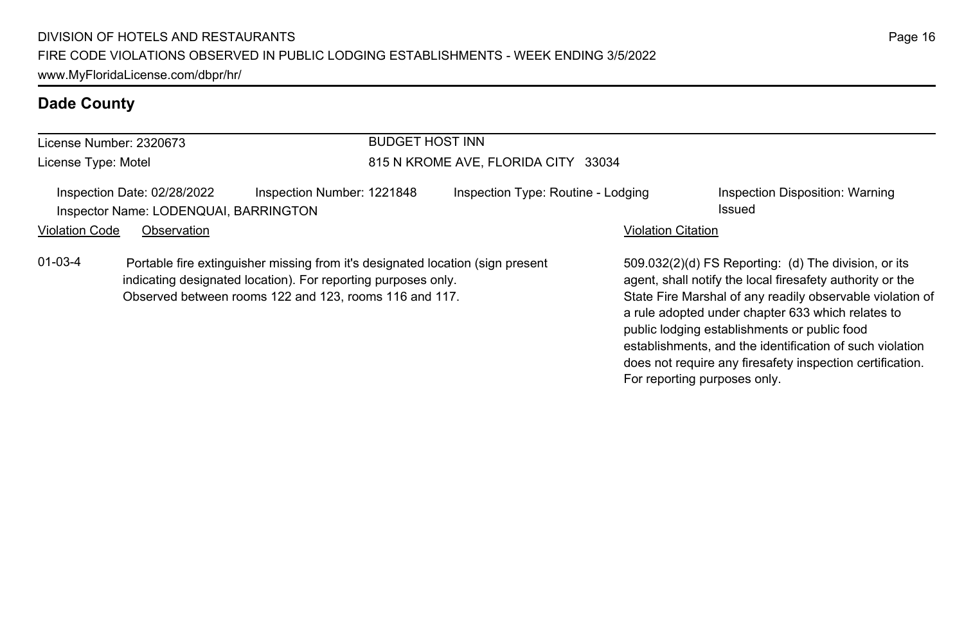|                       | License Number: 2320673                                              |                                                                                                                                                                                                           | <b>BUDGET HOST INN</b><br>815 N KROME AVE, FLORIDA CITY 33034 |                           |                                                                                                                                                                                                                                                                                     |  |  |
|-----------------------|----------------------------------------------------------------------|-----------------------------------------------------------------------------------------------------------------------------------------------------------------------------------------------------------|---------------------------------------------------------------|---------------------------|-------------------------------------------------------------------------------------------------------------------------------------------------------------------------------------------------------------------------------------------------------------------------------------|--|--|
| License Type: Motel   |                                                                      |                                                                                                                                                                                                           |                                                               |                           |                                                                                                                                                                                                                                                                                     |  |  |
|                       | Inspection Date: 02/28/2022<br>Inspector Name: LODENQUAI, BARRINGTON | Inspection Number: 1221848                                                                                                                                                                                | Inspection Type: Routine - Lodging                            |                           | Inspection Disposition: Warning<br>Issued                                                                                                                                                                                                                                           |  |  |
| <b>Violation Code</b> | Observation                                                          |                                                                                                                                                                                                           |                                                               | <b>Violation Citation</b> |                                                                                                                                                                                                                                                                                     |  |  |
| $01-03-4$             |                                                                      | Portable fire extinguisher missing from it's designated location (sign present<br>indicating designated location). For reporting purposes only.<br>Observed between rooms 122 and 123, rooms 116 and 117. |                                                               |                           | 509.032(2)(d) FS Reporting: (d) The division, or its<br>agent, shall notify the local firesafety authority or the<br>State Fire Marshal of any readily observable violation of<br>a rule adopted under chapter 633 which relates to<br>public lodging establishments or public food |  |  |

establishments, and the identification of such violation does not require any firesafety inspection certification.

For reporting purposes only.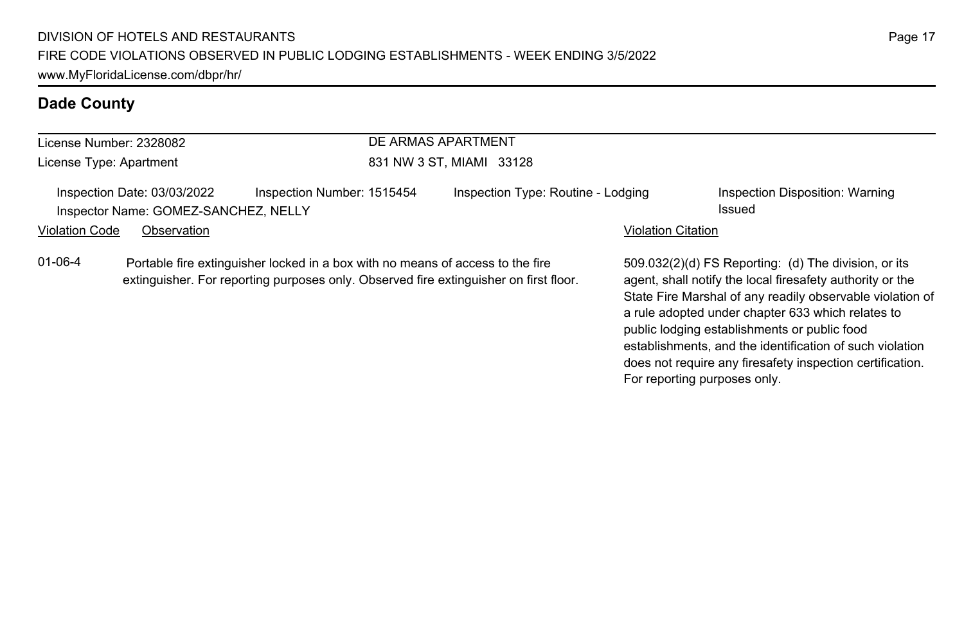| License Number: 2328082 |                                                                     |                                                                                                                                                                         | DE ARMAS APARTMENT                 |                           |                                                                                                                   |  |  |
|-------------------------|---------------------------------------------------------------------|-------------------------------------------------------------------------------------------------------------------------------------------------------------------------|------------------------------------|---------------------------|-------------------------------------------------------------------------------------------------------------------|--|--|
| License Type: Apartment |                                                                     |                                                                                                                                                                         | 831 NW 3 ST, MIAMI 33128           |                           |                                                                                                                   |  |  |
|                         | Inspection Date: 03/03/2022<br>Inspector Name: GOMEZ-SANCHEZ, NELLY | Inspection Number: 1515454                                                                                                                                              | Inspection Type: Routine - Lodging |                           | Inspection Disposition: Warning<br>Issued                                                                         |  |  |
| <b>Violation Code</b>   | Observation                                                         |                                                                                                                                                                         |                                    | <b>Violation Citation</b> |                                                                                                                   |  |  |
| $01 - 06 - 4$           |                                                                     | Portable fire extinguisher locked in a box with no means of access to the fire<br>extinguisher. For reporting purposes only. Observed fire extinguisher on first floor. |                                    |                           | 509.032(2)(d) FS Reporting: (d) The division, or its<br>agent, shall notify the local firesafety authority or the |  |  |

agent, shall notify the local firesafety authority or the State Fire Marshal of any readily observable violation of a rule adopted under chapter 633 which relates to public lodging establishments or public food establishments, and the identification of such violation does not require any firesafety inspection certification. For reporting purposes only.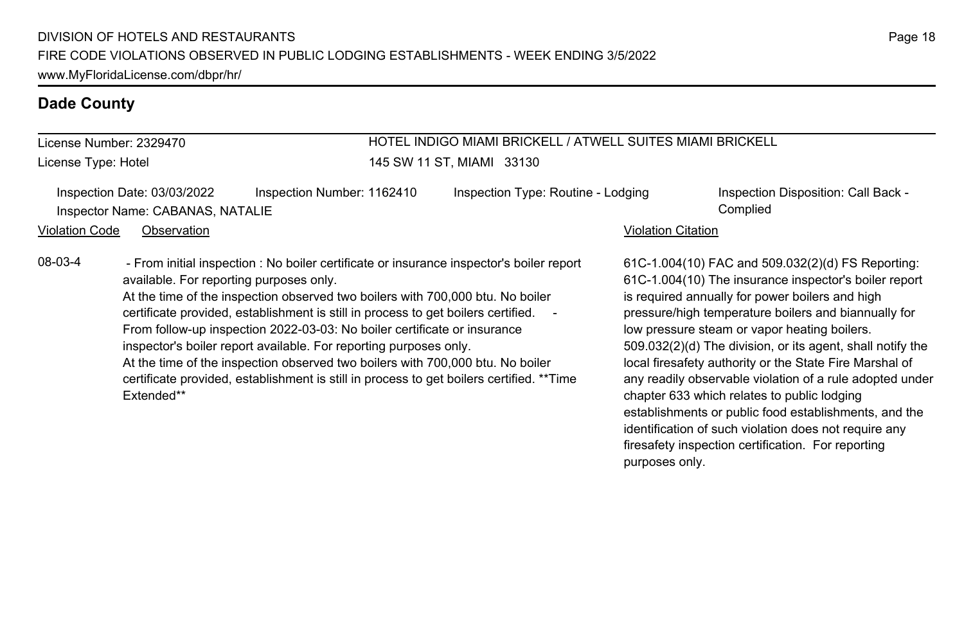# HOTEL INDIGO MIAMI BRICKELL / ATWELL SUITES MIAMI BRICKELL

145 SW 11 ST, MIAMI 33130

Inspection Date: 03/03/2022 Inspection Number: 1162410 Inspection Type: Routine - Lodging Inspection Disposition: Call Back -Inspector Name: CABANAS, NATALIE Complied

Violation Code Observation Violation Citation

License Number: 2329470 License Type: Hotel

08-03-4 - From initial inspection : No boiler certificate or insurance inspector's boiler report available. For reporting purposes only.

> At the time of the inspection observed two boilers with 700,000 btu. No boiler certificate provided, establishment is still in process to get boilers certified. - From follow-up inspection 2022-03-03: No boiler certificate or insurance inspector's boiler report available. For reporting purposes only. At the time of the inspection observed two boilers with 700,000 btu. No boiler certificate provided, establishment is still in process to get boilers certified. \*\*Time Extended\*\*

61C-1.004(10) FAC and 509.032(2)(d) FS Reporting: 61C-1.004(10) The insurance inspector's boiler report is required annually for power boilers and high pressure/high temperature boilers and biannually for low pressure steam or vapor heating boilers. 509.032(2)(d) The division, or its agent, shall notify the local firesafety authority or the State Fire Marshal of any readily observable violation of a rule adopted under chapter 633 which relates to public lodging establishments or public food establishments, and the identification of such violation does not require any firesafety inspection certification. For reporting purposes only.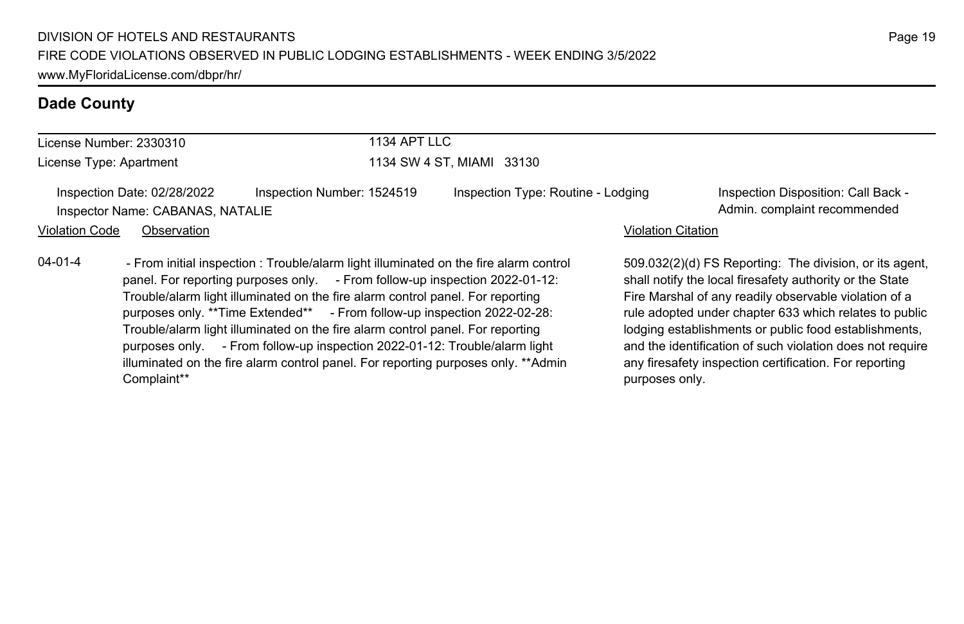purposes only. - From follow-up inspection 2022-01-12: Trouble/alarm light illuminated on the fire alarm control panel. For reporting purposes only. \*\*Admin

# **Dade County**

Complaint\*\*

| License Number: 2330310                                         | 1134 APT LLC                                                                                                                                                                                                                                                                                                                            |                                         |                                                                                                                                                                                                                                                                                                 |  |  |  |
|-----------------------------------------------------------------|-----------------------------------------------------------------------------------------------------------------------------------------------------------------------------------------------------------------------------------------------------------------------------------------------------------------------------------------|-----------------------------------------|-------------------------------------------------------------------------------------------------------------------------------------------------------------------------------------------------------------------------------------------------------------------------------------------------|--|--|--|
| License Type: Apartment                                         |                                                                                                                                                                                                                                                                                                                                         | 1134 SW 4 ST, MIAMI 33130               |                                                                                                                                                                                                                                                                                                 |  |  |  |
| Inspection Date: 02/28/2022<br>Inspector Name: CABANAS, NATALIE | Inspection Number: 1524519                                                                                                                                                                                                                                                                                                              | Inspection Type: Routine - Lodging      | Inspection Disposition: Call Back -<br>Admin. complaint recommended                                                                                                                                                                                                                             |  |  |  |
| <b>Violation Code</b><br>Observation                            |                                                                                                                                                                                                                                                                                                                                         |                                         | <b>Violation Citation</b>                                                                                                                                                                                                                                                                       |  |  |  |
| $04 - 01 - 4$<br>purposes only. **Time Extended**               | - From initial inspection: Trouble/alarm light illuminated on the fire alarm control<br>panel. For reporting purposes only. - From follow-up inspection 2022-01-12:<br>Trouble/alarm light illuminated on the fire alarm control panel. For reporting<br>Trouble/alarm light illuminated on the fire alarm control panel. For reporting | - From follow-up inspection 2022-02-28: | 509.032(2)(d) FS Reporting: The division, or its agent,<br>shall notify the local firesafety authority or the State<br>Fire Marshal of any readily observable violation of a<br>rule adopted under chapter 633 which relates to public<br>lodging establishments or public food establishments, |  |  |  |

and the identification of such violation does not require any firesafety inspection certification. For reporting

purposes only.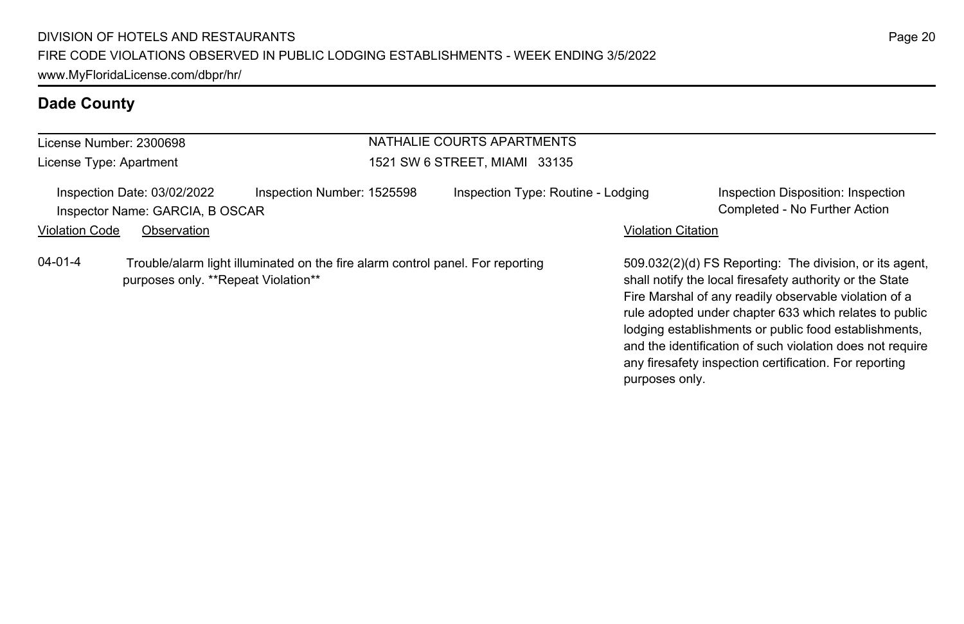| License Number: 2300698 |                                                                |                                                                                | NATHALIE COURTS APARTMENTS         |                           |                                                                                                                                                                                                                                                                                                 |  |  |
|-------------------------|----------------------------------------------------------------|--------------------------------------------------------------------------------|------------------------------------|---------------------------|-------------------------------------------------------------------------------------------------------------------------------------------------------------------------------------------------------------------------------------------------------------------------------------------------|--|--|
| License Type: Apartment |                                                                |                                                                                | 1521 SW 6 STREET, MIAMI 33135      |                           |                                                                                                                                                                                                                                                                                                 |  |  |
|                         | Inspection Date: 03/02/2022<br>Inspector Name: GARCIA, B OSCAR | Inspection Number: 1525598                                                     | Inspection Type: Routine - Lodging |                           | Inspection Disposition: Inspection<br>Completed - No Further Action                                                                                                                                                                                                                             |  |  |
| <b>Violation Code</b>   | Observation                                                    |                                                                                |                                    | <b>Violation Citation</b> |                                                                                                                                                                                                                                                                                                 |  |  |
| $04 - 01 - 4$           | purposes only. **Repeat Violation**                            | Trouble/alarm light illuminated on the fire alarm control panel. For reporting |                                    |                           | 509.032(2)(d) FS Reporting: The division, or its agent,<br>shall notify the local firesafety authority or the State<br>Fire Marshal of any readily observable violation of a<br>rule adopted under chapter 633 which relates to public<br>lodging establishments or public food establishments, |  |  |

and the identification of such violation does not require any firesafety inspection certification. For reporting

purposes only.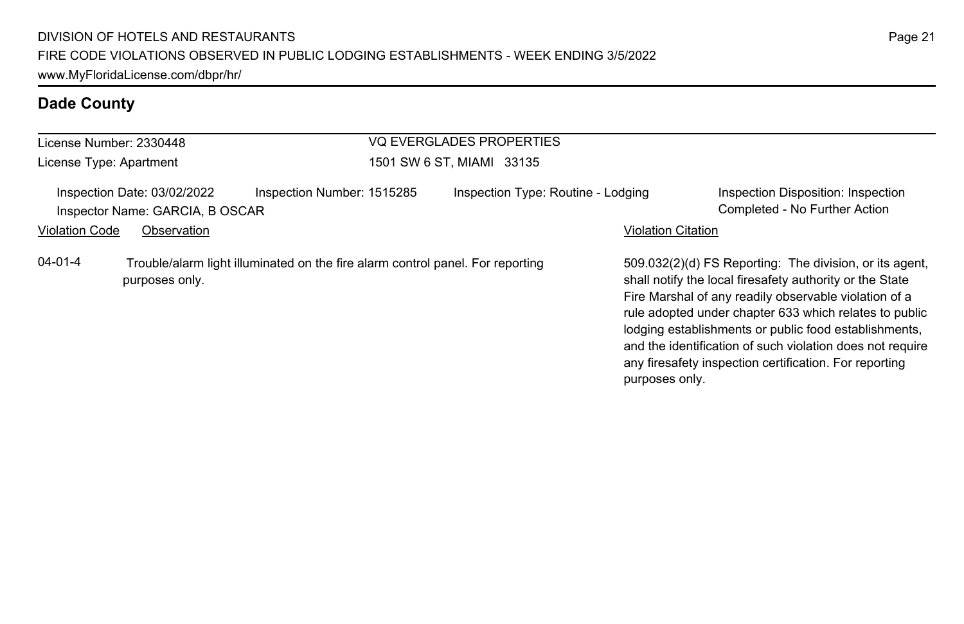| License Number: 2330448 |                                                                |                                                                                | <b>VQ EVERGLADES PROPERTIES</b>    |                           |                                                                                                                                                                                                                                                                                                                                                                                                                        |
|-------------------------|----------------------------------------------------------------|--------------------------------------------------------------------------------|------------------------------------|---------------------------|------------------------------------------------------------------------------------------------------------------------------------------------------------------------------------------------------------------------------------------------------------------------------------------------------------------------------------------------------------------------------------------------------------------------|
| License Type: Apartment |                                                                |                                                                                | 1501 SW 6 ST, MIAMI 33135          |                           |                                                                                                                                                                                                                                                                                                                                                                                                                        |
|                         | Inspection Date: 03/02/2022<br>Inspector Name: GARCIA, B OSCAR | Inspection Number: 1515285                                                     | Inspection Type: Routine - Lodging |                           | Inspection Disposition: Inspection<br>Completed - No Further Action                                                                                                                                                                                                                                                                                                                                                    |
| <b>Violation Code</b>   | Observation                                                    |                                                                                |                                    | <b>Violation Citation</b> |                                                                                                                                                                                                                                                                                                                                                                                                                        |
| $04 - 01 - 4$           | purposes only.                                                 | Trouble/alarm light illuminated on the fire alarm control panel. For reporting |                                    | purposes only.            | 509.032(2)(d) FS Reporting: The division, or its agent.<br>shall notify the local firesafety authority or the State<br>Fire Marshal of any readily observable violation of a<br>rule adopted under chapter 633 which relates to public<br>lodging establishments or public food establishments,<br>and the identification of such violation does not require<br>any firesafety inspection certification. For reporting |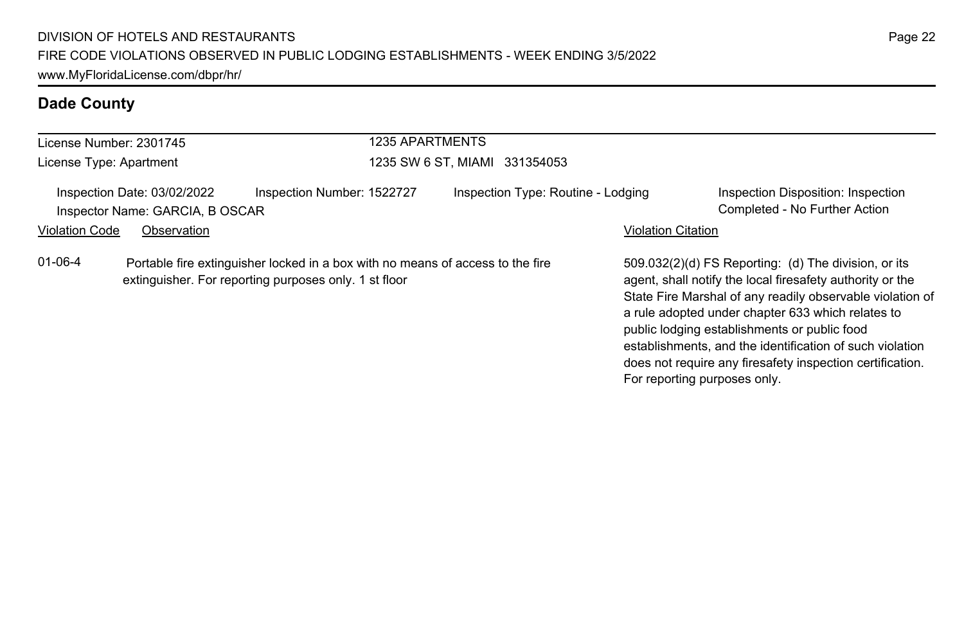| License Number: 2301745 |                                                                |                                                                                                                                         | <b>1235 APARTMENTS</b>        |                                    |                           |                                                                                                                                                                                                                                                                                                                                                                                                              |
|-------------------------|----------------------------------------------------------------|-----------------------------------------------------------------------------------------------------------------------------------------|-------------------------------|------------------------------------|---------------------------|--------------------------------------------------------------------------------------------------------------------------------------------------------------------------------------------------------------------------------------------------------------------------------------------------------------------------------------------------------------------------------------------------------------|
| License Type: Apartment |                                                                |                                                                                                                                         | 1235 SW 6 ST. MIAMI 331354053 |                                    |                           |                                                                                                                                                                                                                                                                                                                                                                                                              |
|                         | Inspection Date: 03/02/2022<br>Inspector Name: GARCIA, B OSCAR | Inspection Number: 1522727                                                                                                              |                               | Inspection Type: Routine - Lodging |                           | Inspection Disposition: Inspection<br>Completed - No Further Action                                                                                                                                                                                                                                                                                                                                          |
| <b>Violation Code</b>   | Observation                                                    |                                                                                                                                         |                               |                                    | <b>Violation Citation</b> |                                                                                                                                                                                                                                                                                                                                                                                                              |
| $01 - 06 - 4$           |                                                                | Portable fire extinguisher locked in a box with no means of access to the fire<br>extinguisher. For reporting purposes only, 1 st floor |                               |                                    |                           | 509.032(2)(d) FS Reporting: (d) The division, or its<br>agent, shall notify the local firesafety authority or the<br>State Fire Marshal of any readily observable violation of<br>a rule adopted under chapter 633 which relates to<br>public lodging establishments or public food<br>establishments, and the identification of such violation<br>does not require any firesafety inspection certification. |

For reporting purposes only.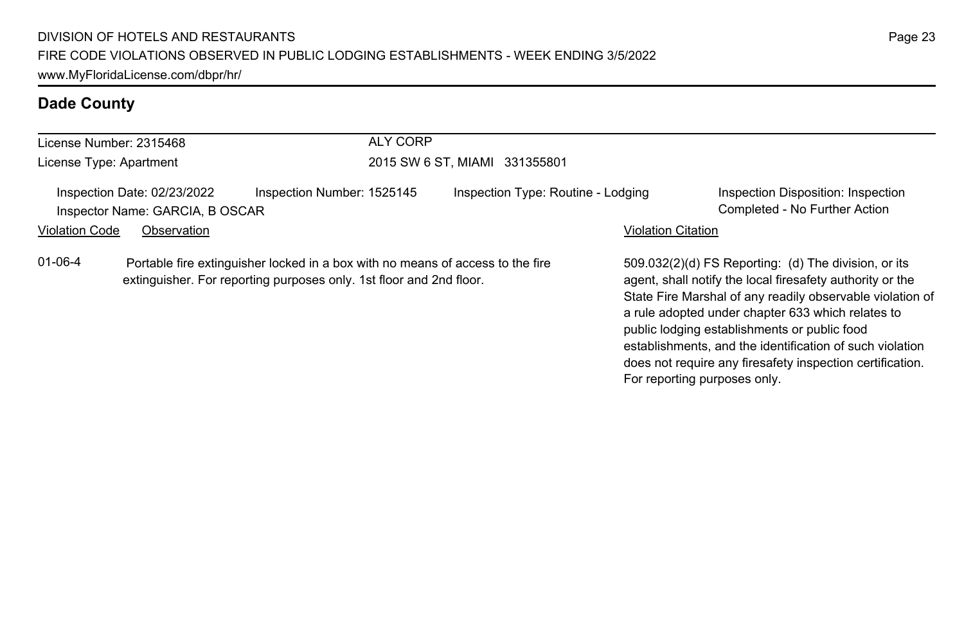|                         | License Number: 2315468                                        | ALY CORP                                                                                                                                              |                                    |                           |                                                                                                                                                                                                                                                                                     |
|-------------------------|----------------------------------------------------------------|-------------------------------------------------------------------------------------------------------------------------------------------------------|------------------------------------|---------------------------|-------------------------------------------------------------------------------------------------------------------------------------------------------------------------------------------------------------------------------------------------------------------------------------|
| License Type: Apartment |                                                                |                                                                                                                                                       | 2015 SW 6 ST, MIAMI 331355801      |                           |                                                                                                                                                                                                                                                                                     |
|                         | Inspection Date: 02/23/2022<br>Inspector Name: GARCIA, B OSCAR | Inspection Number: 1525145                                                                                                                            | Inspection Type: Routine - Lodging |                           | Inspection Disposition: Inspection<br>Completed - No Further Action                                                                                                                                                                                                                 |
| <b>Violation Code</b>   | Observation                                                    |                                                                                                                                                       |                                    | <b>Violation Citation</b> |                                                                                                                                                                                                                                                                                     |
| $01 - 06 - 4$           |                                                                | Portable fire extinguisher locked in a box with no means of access to the fire<br>extinguisher. For reporting purposes only. 1st floor and 2nd floor. |                                    |                           | 509.032(2)(d) FS Reporting: (d) The division, or its<br>agent, shall notify the local firesafety authority or the<br>State Fire Marshal of any readily observable violation of<br>a rule adopted under chapter 633 which relates to<br>public lodging establishments or public food |

establishments, and the identification of such violation does not require any firesafety inspection certification.

For reporting purposes only.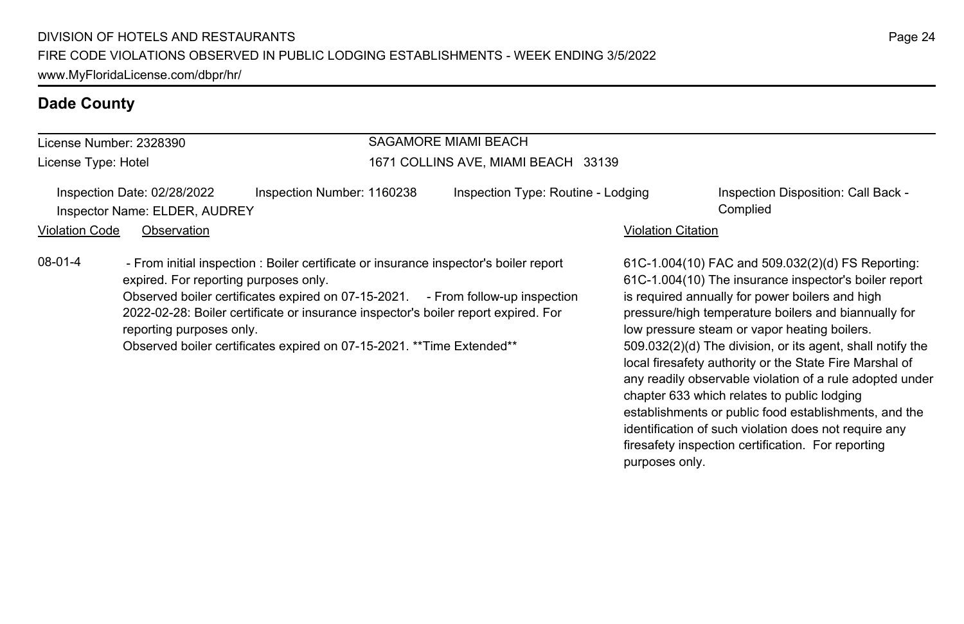|                                                                                                                                                                                                                                                                                                                                                                                                                            | License Number: 2328390                                      |                            | SAGAMORE MIAMI BEACH                |                                                                                                                                                                                                                                                                                                                                                                                                |                                                 |  |
|----------------------------------------------------------------------------------------------------------------------------------------------------------------------------------------------------------------------------------------------------------------------------------------------------------------------------------------------------------------------------------------------------------------------------|--------------------------------------------------------------|----------------------------|-------------------------------------|------------------------------------------------------------------------------------------------------------------------------------------------------------------------------------------------------------------------------------------------------------------------------------------------------------------------------------------------------------------------------------------------|-------------------------------------------------|--|
| License Type: Hotel                                                                                                                                                                                                                                                                                                                                                                                                        |                                                              |                            | 1671 COLLINS AVE, MIAMI BEACH 33139 |                                                                                                                                                                                                                                                                                                                                                                                                |                                                 |  |
|                                                                                                                                                                                                                                                                                                                                                                                                                            | Inspection Date: 02/28/2022<br>Inspector Name: ELDER, AUDREY | Inspection Number: 1160238 | Inspection Type: Routine - Lodging  |                                                                                                                                                                                                                                                                                                                                                                                                | Inspection Disposition: Call Back -<br>Complied |  |
| <b>Violation Code</b>                                                                                                                                                                                                                                                                                                                                                                                                      | Observation                                                  |                            |                                     | <b>Violation Citation</b>                                                                                                                                                                                                                                                                                                                                                                      |                                                 |  |
| $08-01-4$<br>- From initial inspection : Boiler certificate or insurance inspector's boiler report<br>expired. For reporting purposes only.<br>Observed boiler certificates expired on 07-15-2021. - From follow-up inspection<br>2022-02-28: Boiler certificate or insurance inspector's boiler report expired. For<br>reporting purposes only.<br>Observed boiler certificates expired on 07-15-2021. ** Time Extended** |                                                              |                            |                                     | 61C-1.004(10) FAC and 509.032(2)(d) FS Reporting:<br>61C-1.004(10) The insurance inspector's boiler report<br>is required annually for power boilers and high<br>pressure/high temperature boilers and biannually for<br>low pressure steam or vapor heating boilers.<br>509.032(2)(d) The division, or its agent, shall notify the<br>local firesafety authority or the State Fire Marshal of |                                                 |  |

any readily observable violation of a rule adopted under

establishments or public food establishments, and the identification of such violation does not require any firesafety inspection certification. For reporting

chapter 633 which relates to public lodging

purposes only.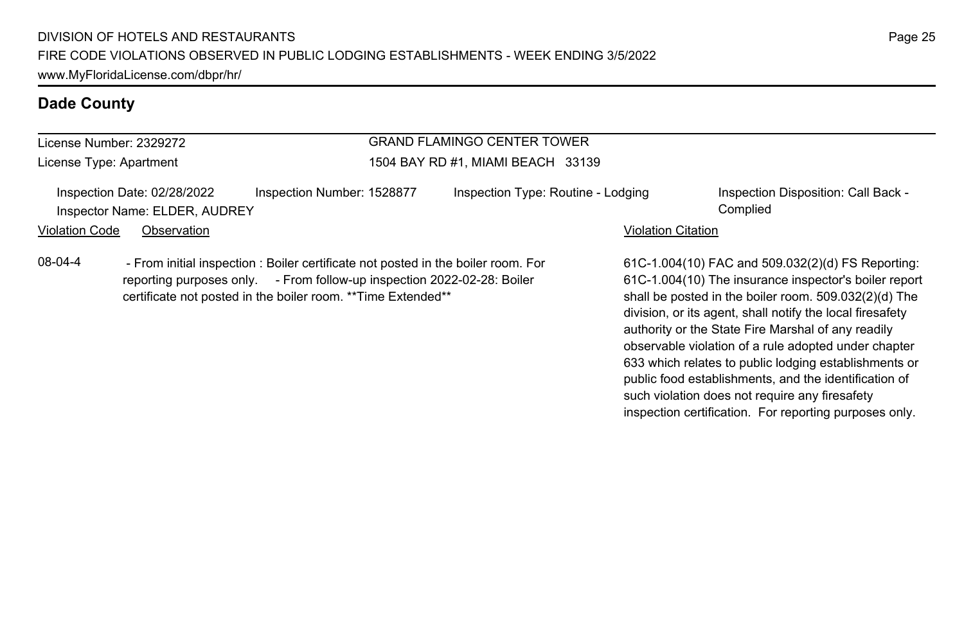# License Number: 2329272

License Type: Apartment

# GRAND FLAMINGO CENTER TOWER 1504 BAY RD #1, MIAMI BEACH 33139

Inspection Date: 02/28/2022 Inspection Number: 1528877 Inspection Type: Routine - Lodging Inspection Disposition: Call Back -Inspector Name: ELDER, AUDREY Complied

### Violation Code Observation **Violation Code** Observation **Violation** Violation Citation Citation Citation Citation

08-04-4 - From initial inspection : Boiler certificate not posted in the boiler room. For reporting purposes only. - From follow-up inspection 2022-02-28: Boiler certificate not posted in the boiler room. \*\*Time Extended\*\*

61C-1.004(10) FAC and 509.032(2)(d) FS Reporting: 61C-1.004(10) The insurance inspector's boiler report shall be posted in the boiler room. 509.032(2)(d) The division, or its agent, shall notify the local firesafety authority or the State Fire Marshal of any readily observable violation of a rule adopted under chapter 633 which relates to public lodging establishments or public food establishments, and the identification of such violation does not require any firesafety inspection certification. For reporting purposes only.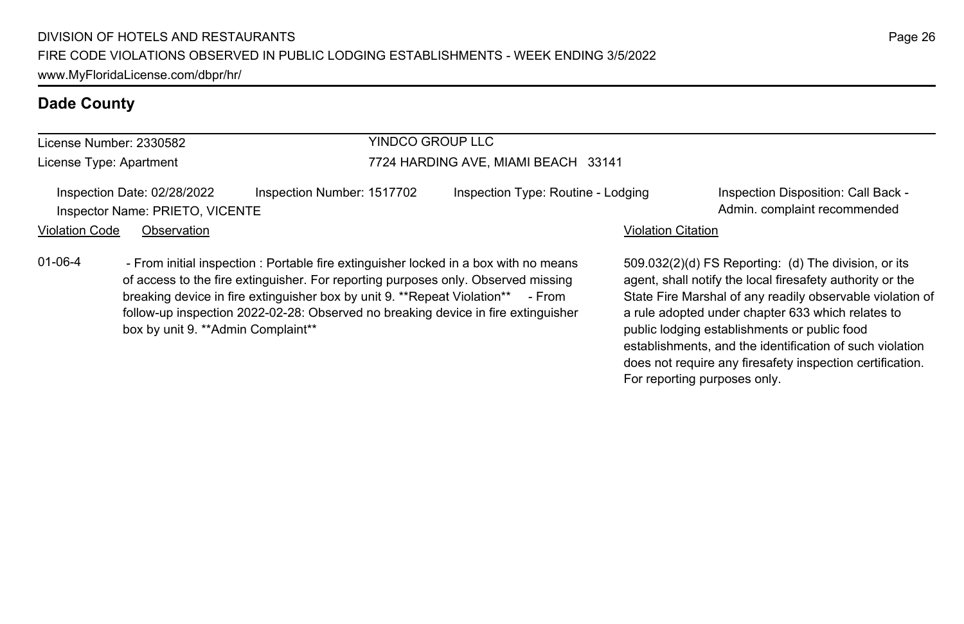# License Number: 2330582

License Type: Apartment

# YINDCO GROUP LLC

### 7724 HARDING AVE, MIAMI BEACH 33141

Inspection Date: 02/28/2022 Inspection Number: 1517702 Inspection Type: Routine - Lodging Inspection Disposition: Call Back -Inspector Name: PRIETO, VICENTE **Admin.** complaint recommended

### Violation Code Observation **Violation Code** Observation **Violation** Violation Citation Citation Citation Citation

01-06-4 - From initial inspection : Portable fire extinguisher locked in a box with no means of access to the fire extinguisher. For reporting purposes only. Observed missing breaking device in fire extinguisher box by unit 9. \*\*Repeat Violation\*\* - From follow-up inspection 2022-02-28: Observed no breaking device in fire extinguisher box by unit 9. \*\*Admin Complaint\*\*

509.032(2)(d) FS Reporting: (d) The division, or its agent, shall notify the local firesafety authority or the State Fire Marshal of any readily observable violation of a rule adopted under chapter 633 which relates to public lodging establishments or public food establishments, and the identification of such violation does not require any firesafety inspection certification. For reporting purposes only.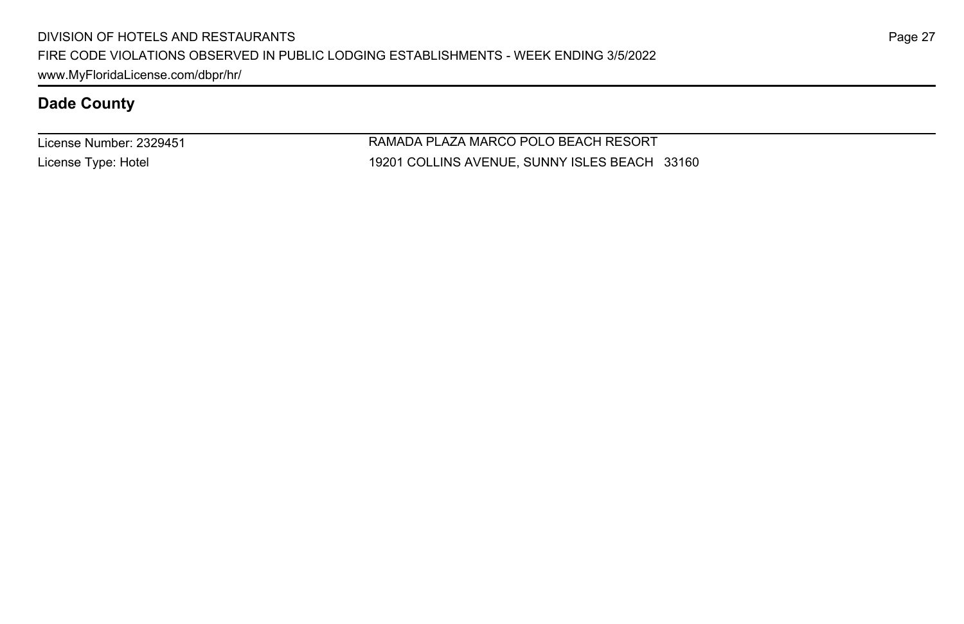License Number: 2329451 License Type: Hotel

RAMADA PLAZA MARCO POLO BEACH RESORT 19201 COLLINS AVENUE, SUNNY ISLES BEACH 33160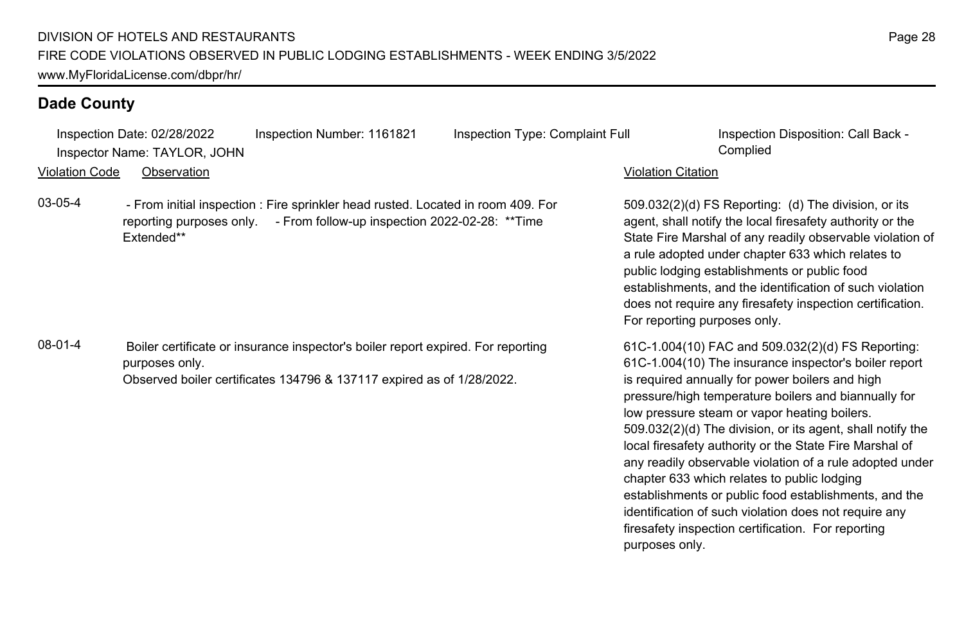Inspection Date: 02/28/2022 Inspection Number: 1161821 Inspection Type: Complaint Full Inspection Disposition: Call Back - Inspector Name: TAYLOR, JOHN Complied

Extended\*\*

reporting purposes only. - From follow-up inspection 2022-02-28: \*\*Time

### Violation Code Observation Violation Citation

509.032(2)(d) FS Reporting: (d) The division, or its agent, shall notify the local firesafety authority or the State Fire Marshal of any readily observable violation of a rule adopted under chapter 633 which relates to public lodging establishments or public food establishments, and the identification of such violation does not require any firesafety inspection certification. For reporting purposes only.

61C-1.004(10) FAC and 509.032(2)(d) FS Reporting: 61C-1.004(10) The insurance inspector's boiler report is required annually for power boilers and high pressure/high temperature boilers and biannually for low pressure steam or vapor heating boilers. 509.032(2)(d) The division, or its agent, shall notify the local firesafety authority or the State Fire Marshal of any readily observable violation of a rule adopted under chapter 633 which relates to public lodging establishments or public food establishments, and the identification of such violation does not require any firesafety inspection certification. For reporting purposes only.

08-01-4 Boiler certificate or insurance inspector's boiler report expired. For reporting purposes only. Observed boiler certificates 134796 & 137117 expired as of 1/28/2022.

03-05-4 - From initial inspection : Fire sprinkler head rusted. Located in room 409. For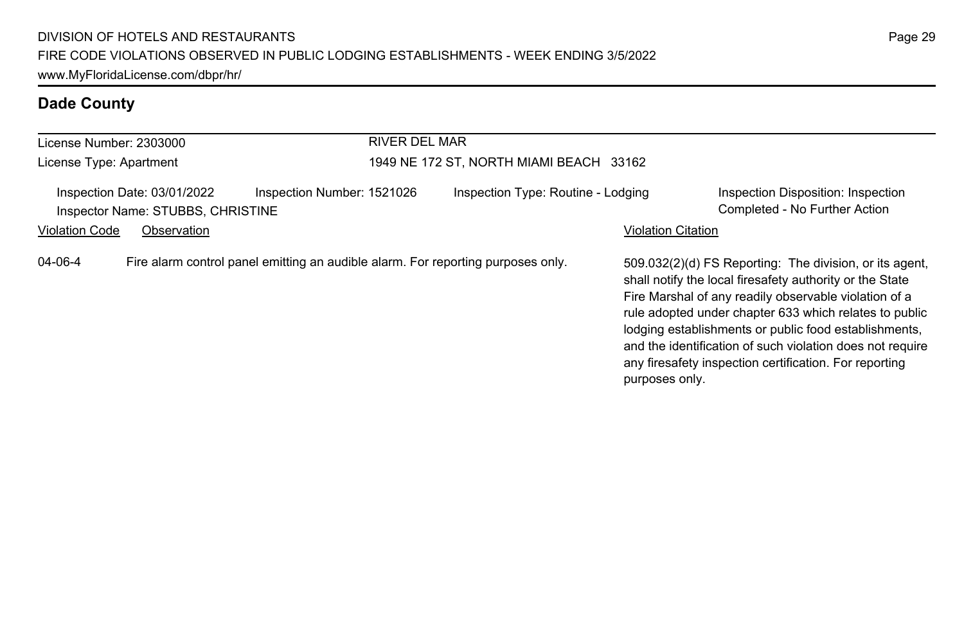| License Number: 2303000                                                                        | <b>RIVER DEL MAR</b>                    |                                                                                                                                                                                                                                                                                                                                                                                                                                          |  |  |
|------------------------------------------------------------------------------------------------|-----------------------------------------|------------------------------------------------------------------------------------------------------------------------------------------------------------------------------------------------------------------------------------------------------------------------------------------------------------------------------------------------------------------------------------------------------------------------------------------|--|--|
| License Type: Apartment                                                                        | 1949 NE 172 ST, NORTH MIAMI BEACH 33162 |                                                                                                                                                                                                                                                                                                                                                                                                                                          |  |  |
| Inspection Date: 03/01/2022<br>Inspection Number: 1521026<br>Inspector Name: STUBBS, CHRISTINE | Inspection Type: Routine - Lodging      | Inspection Disposition: Inspection<br>Completed - No Further Action                                                                                                                                                                                                                                                                                                                                                                      |  |  |
| <b>Violation Code</b><br>Observation                                                           |                                         | <b>Violation Citation</b>                                                                                                                                                                                                                                                                                                                                                                                                                |  |  |
| 04-06-4<br>Fire alarm control panel emitting an audible alarm. For reporting purposes only.    |                                         | 509.032(2)(d) FS Reporting: The division, or its agent.<br>shall notify the local firesafety authority or the State<br>Fire Marshal of any readily observable violation of a<br>rule adopted under chapter 633 which relates to public<br>lodging establishments or public food establishments,<br>and the identification of such violation does not require<br>any firesafety inspection certification. For reporting<br>purposes only. |  |  |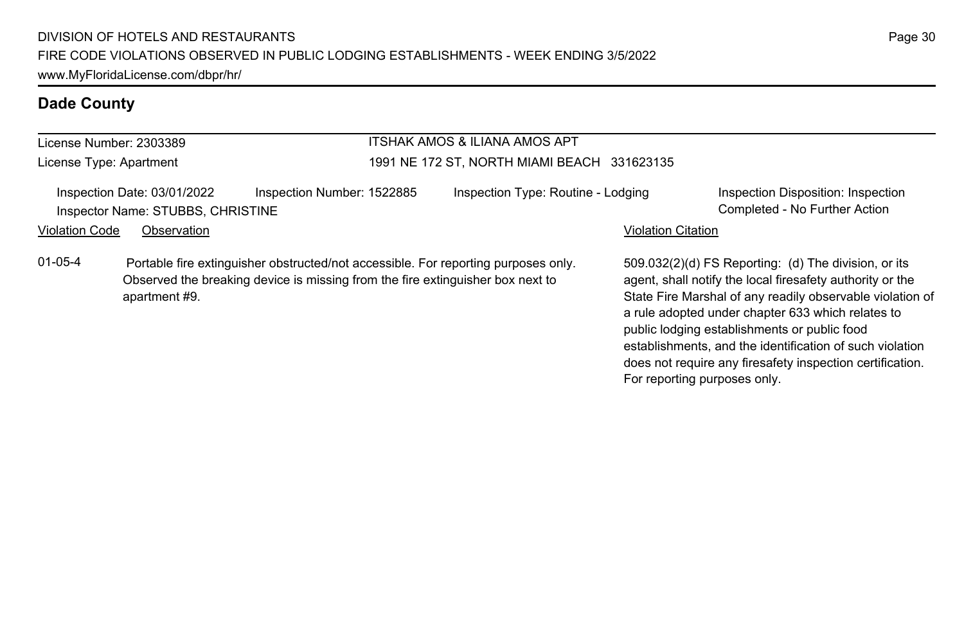#### License Number: 2303389 License Type: Apartment ITSHAK AMOS & ILIANA AMOS APT 1991 NE 172 ST, NORTH MIAMI BEACH 331623135 Inspection Date: 03/01/2022 Inspection Number: 1522885 Inspection Type: Routine - Lodging Inspection Disposition: Inspection Inspector Name: STUBBS, CHRISTINE Completed - No Further Action Violation Code Observation **Violation Code** Observation **Violation** Violation Citation Citation **Violation** 509.032(2)(d) FS Reporting: (d) The division, or its agent, shall notify the local firesafety authority or the State Fire Marshal of any readily observable violation of a rule adopted under chapter 633 which relates to 01-05-4 Portable fire extinguisher obstructed/not accessible. For reporting purposes only. Observed the breaking device is missing from the fire extinguisher box next to apartment #9.

public lodging establishments or public food

For reporting purposes only.

establishments, and the identification of such violation does not require any firesafety inspection certification.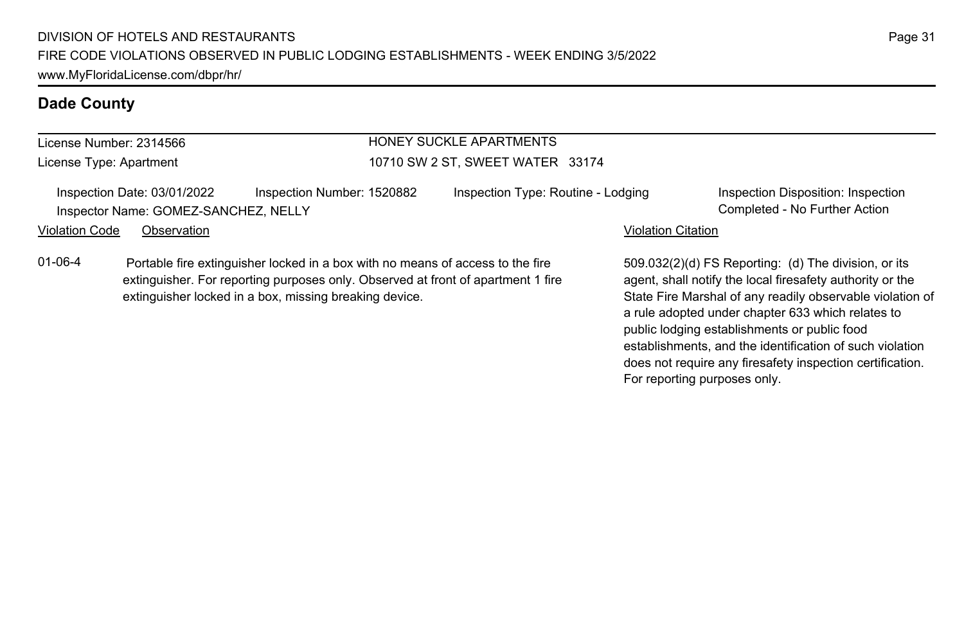# License Number: 2314566

License Type: Apartment

# HONEY SUCKLE APARTMENTS 10710 SW 2 ST, SWEET WATER 33174

Inspection Date: 03/01/2022 Inspection Number: 1520882 Inspection Type: Routine - Lodging Inspection Disposition: Inspection Inspector Name: GOMEZ-SANCHEZ, NELLY Completed - No Further Action

### Violation Code Observation **Violation Code** Observation **Violation** Violation Citation Citation **Violation**

01-06-4 Portable fire extinguisher locked in a box with no means of access to the fire extinguisher. For reporting purposes only. Observed at front of apartment 1 fire extinguisher locked in a box, missing breaking device.

509.032(2)(d) FS Reporting: (d) The division, or its agent, shall notify the local firesafety authority or the State Fire Marshal of any readily observable violation of a rule adopted under chapter 633 which relates to public lodging establishments or public food establishments, and the identification of such violation does not require any firesafety inspection certification. For reporting purposes only.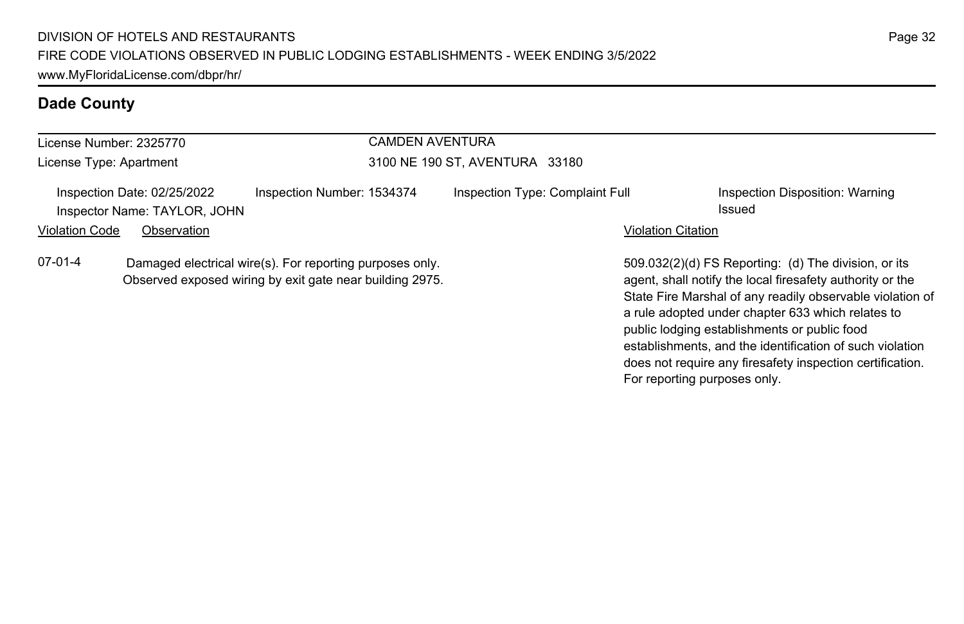| License Number: 2325770                                                                                                           |                            | <b>CAMDEN AVENTURA</b><br>3100 NE 190 ST, AVENTURA 33180 |                                                                                                                                                                                                                                                                                     |  |  |
|-----------------------------------------------------------------------------------------------------------------------------------|----------------------------|----------------------------------------------------------|-------------------------------------------------------------------------------------------------------------------------------------------------------------------------------------------------------------------------------------------------------------------------------------|--|--|
| License Type: Apartment                                                                                                           |                            |                                                          |                                                                                                                                                                                                                                                                                     |  |  |
| Inspection Date: 02/25/2022<br>Inspector Name: TAYLOR, JOHN<br><b>Violation Code</b><br>Observation                               | Inspection Number: 1534374 | Inspection Type: Complaint Full                          | Inspection Disposition: Warning<br>Issued<br><b>Violation Citation</b>                                                                                                                                                                                                              |  |  |
|                                                                                                                                   |                            |                                                          |                                                                                                                                                                                                                                                                                     |  |  |
| $07-01-4$<br>Damaged electrical wire(s). For reporting purposes only.<br>Observed exposed wiring by exit gate near building 2975. |                            |                                                          | 509.032(2)(d) FS Reporting: (d) The division, or its<br>agent, shall notify the local firesafety authority or the<br>State Fire Marshal of any readily observable violation of<br>a rule adopted under chapter 633 which relates to<br>public lodging establishments or public food |  |  |

establishments, and the identification of such violation does not require any firesafety inspection certification.

For reporting purposes only.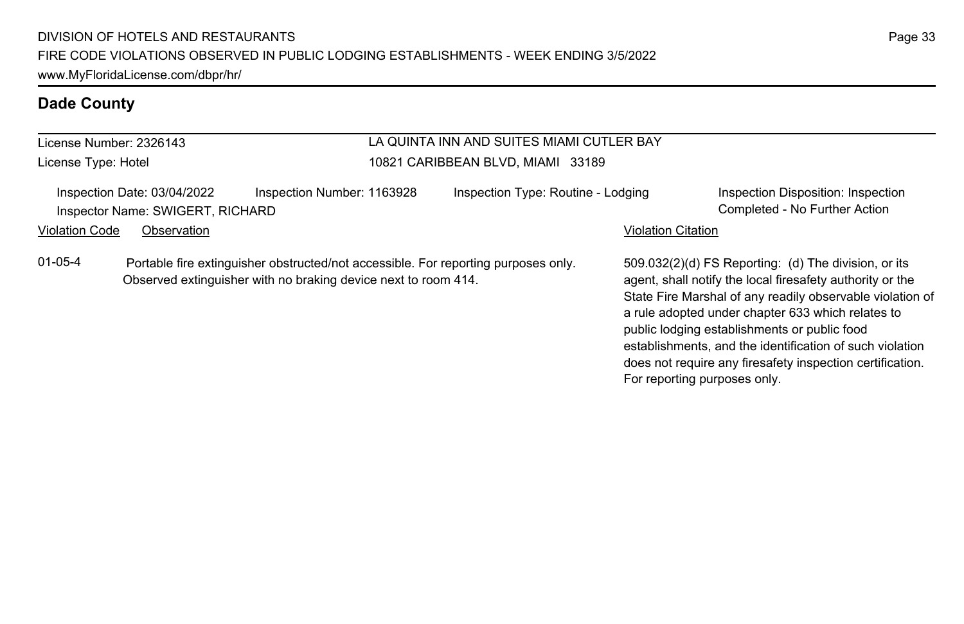#### License Number: 2326143 License Type: Hotel LA QUINTA INN AND SUITES MIAMI CUTLER BAY 10821 CARIBBEAN BLVD, MIAMI 33189 Inspection Date: 03/04/2022 Inspection Number: 1163928 Inspection Type: Routine - Lodging Inspection Disposition: Inspection Inspector Name: SWIGERT, RICHARD Completed - No Further Action Violation Code Observation **Violation Code** Observation **Violation** Violation Citation Citation **Violation** 509.032(2)(d) FS Reporting: (d) The division, or its agent, shall notify the local firesafety authority or the State Fire Marshal of any readily observable violation of a rule adopted under chapter 633 which relates to 01-05-4 Portable fire extinguisher obstructed/not accessible. For reporting purposes only. Observed extinguisher with no braking device next to room 414.

Page 33

public lodging establishments or public food

For reporting purposes only.

establishments, and the identification of such violation does not require any firesafety inspection certification.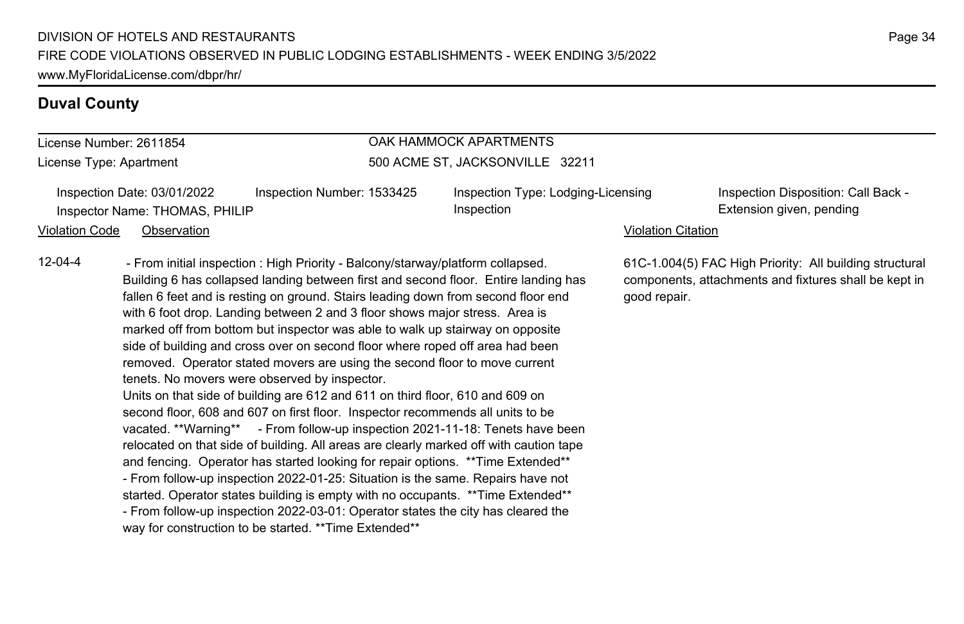# **Duval County**

# License Number: 2611854

License Type: Apartment

# OAK HAMMOCK APARTMENTS 500 ACME ST, JACKSONVILLE 32211

Inspection Date: 03/01/2022 Inspection Number: 1533425 Inspection Type: Lodging-Licensing Inspector Name: THOMAS, PHILIP **Extension given, pending** Inspection **Extension given, pending** 

Inspection

Inspection Disposition: Call Back -

### Violation Code Observation **Violation Code** Observation **Violation** Violation Citation Citation Citation Citation

12-04-4 - From initial inspection : High Priority - Balcony/starway/platform collapsed. Building 6 has collapsed landing between first and second floor. Entire landing has fallen 6 feet and is resting on ground. Stairs leading down from second floor end with 6 foot drop. Landing between 2 and 3 floor shows major stress. Area is marked off from bottom but inspector was able to walk up stairway on opposite side of building and cross over on second floor where roped off area had been removed. Operator stated movers are using the second floor to move current tenets. No movers were observed by inspector.

> Units on that side of building are 612 and 611 on third floor, 610 and 609 on second floor, 608 and 607 on first floor. Inspector recommends all units to be vacated. \*\*Warning\*\* - From follow-up inspection 2021-11-18: Tenets have been relocated on that side of building. All areas are clearly marked off with caution tape and fencing. Operator has started looking for repair options. \*\* Time Extended\*\* - From follow-up inspection 2022-01-25: Situation is the same. Repairs have not started. Operator states building is empty with no occupants. \*\* Time Extended\*\* - From follow-up inspection 2022-03-01: Operator states the city has cleared the way for construction to be started. \*\*Time Extended\*\*

61C-1.004(5) FAC High Priority: All building structural components, attachments and fixtures shall be kept in good repair.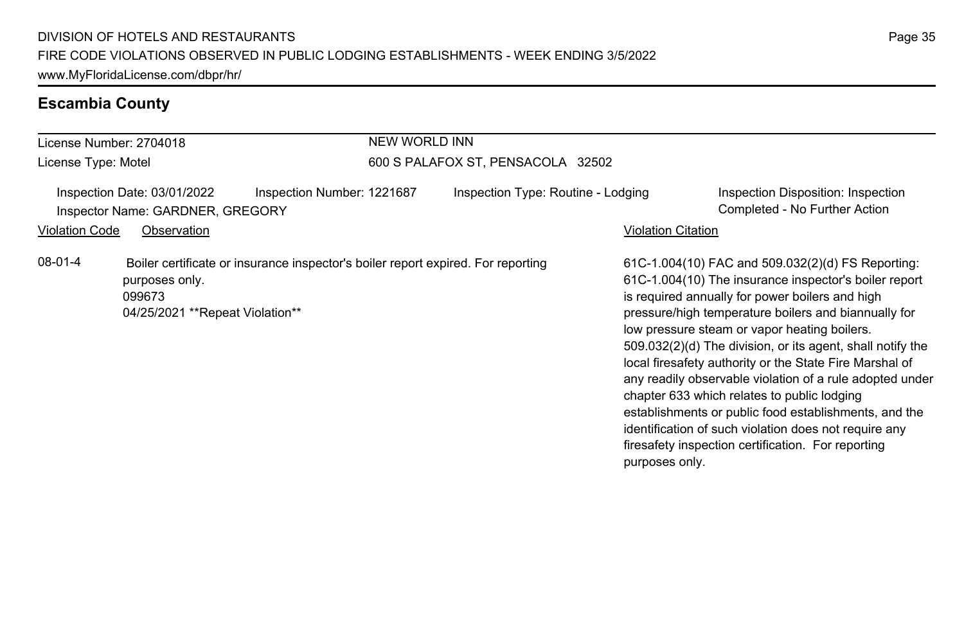# **Escambia County**

|                                                                                                                                                                                     | License Number: 2704018 | <b>NEW WORLD INN</b>       |                                    |                    |                                                                                                                                                                                                                                                                                                                                                                                                                                                                                                                                                                                                                                                                                   |
|-------------------------------------------------------------------------------------------------------------------------------------------------------------------------------------|-------------------------|----------------------------|------------------------------------|--------------------|-----------------------------------------------------------------------------------------------------------------------------------------------------------------------------------------------------------------------------------------------------------------------------------------------------------------------------------------------------------------------------------------------------------------------------------------------------------------------------------------------------------------------------------------------------------------------------------------------------------------------------------------------------------------------------------|
| License Type: Motel                                                                                                                                                                 |                         |                            | 600 S PALAFOX ST, PENSACOLA 32502  |                    |                                                                                                                                                                                                                                                                                                                                                                                                                                                                                                                                                                                                                                                                                   |
| Inspection Date: 03/01/2022<br>Inspector Name: GARDNER, GREGORY                                                                                                                     |                         | Inspection Number: 1221687 | Inspection Type: Routine - Lodging |                    | Inspection Disposition: Inspection<br>Completed - No Further Action                                                                                                                                                                                                                                                                                                                                                                                                                                                                                                                                                                                                               |
|                                                                                                                                                                                     | Observation             |                            |                                    | Violation Citation |                                                                                                                                                                                                                                                                                                                                                                                                                                                                                                                                                                                                                                                                                   |
| <b>Violation Code</b><br>08-01-4<br>Boiler certificate or insurance inspector's boiler report expired. For reporting<br>purposes only.<br>099673<br>04/25/2021 **Repeat Violation** |                         |                            |                                    | purposes only.     | 61C-1.004(10) FAC and 509.032(2)(d) FS Reporting:<br>61C-1.004(10) The insurance inspector's boiler report<br>is required annually for power boilers and high<br>pressure/high temperature boilers and biannually for<br>low pressure steam or vapor heating boilers.<br>509.032(2)(d) The division, or its agent, shall notify the<br>local firesafety authority or the State Fire Marshal of<br>any readily observable violation of a rule adopted under<br>chapter 633 which relates to public lodging<br>establishments or public food establishments, and the<br>identification of such violation does not require any<br>firesafety inspection certification. For reporting |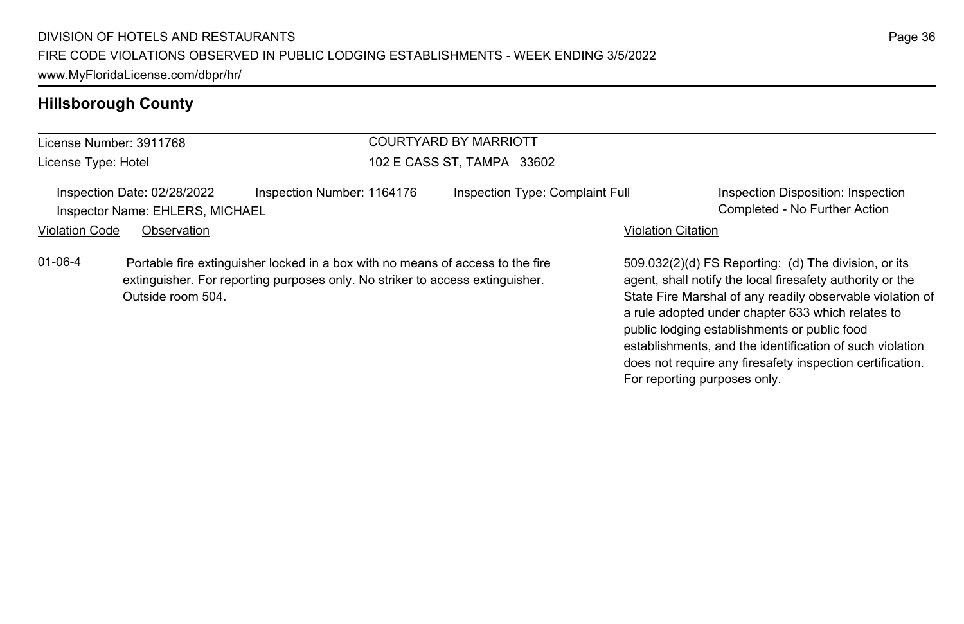| License Number: 3911768                                                                                                                                                                         |                            | <b>COURTYARD BY MARRIOTT</b>    |                    |                                                                                                                                                                                                                                     |  |
|-------------------------------------------------------------------------------------------------------------------------------------------------------------------------------------------------|----------------------------|---------------------------------|--------------------|-------------------------------------------------------------------------------------------------------------------------------------------------------------------------------------------------------------------------------------|--|
| License Type: Hotel                                                                                                                                                                             |                            | 102 E CASS ST, TAMPA 33602      |                    |                                                                                                                                                                                                                                     |  |
| Inspection Date: 02/28/2022<br>Inspector Name: EHLERS, MICHAEL                                                                                                                                  | Inspection Number: 1164176 | Inspection Type: Complaint Full |                    | Inspection Disposition: Inspection<br>Completed - No Further Action                                                                                                                                                                 |  |
| <b>Violation Code</b><br>Observation                                                                                                                                                            |                            |                                 | Violation Citation |                                                                                                                                                                                                                                     |  |
| 01-06-4<br>Portable fire extinguisher locked in a box with no means of access to the fire<br>extinguisher. For reporting purposes only. No striker to access extinguisher.<br>Outside room 504. |                            |                                 |                    | 509.032(2)(d) FS Reporting: (d) The division, or its<br>agent, shall notify the local firesafety authority or the<br>State Fire Marshal of any readily observable violation of<br>a rule adopted under chapter 633 which relates to |  |

public lodging establishments or public food

For reporting purposes only.

establishments, and the identification of such violation does not require any firesafety inspection certification.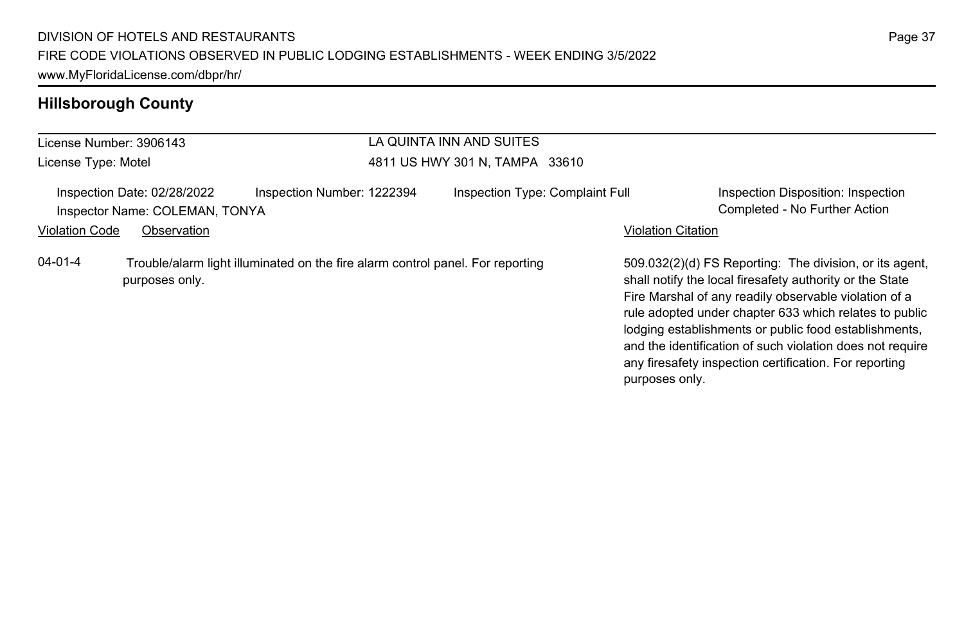|                       | License Number: 3906143                                       |                                                                                | LA QUINTA INN AND SUITES        |                           |                                                                                                                                                                                                                                                                                                                                                                                                                        |
|-----------------------|---------------------------------------------------------------|--------------------------------------------------------------------------------|---------------------------------|---------------------------|------------------------------------------------------------------------------------------------------------------------------------------------------------------------------------------------------------------------------------------------------------------------------------------------------------------------------------------------------------------------------------------------------------------------|
| License Type: Motel   |                                                               |                                                                                | 4811 US HWY 301 N, TAMPA 33610  |                           |                                                                                                                                                                                                                                                                                                                                                                                                                        |
|                       | Inspection Date: 02/28/2022<br>Inspector Name: COLEMAN, TONYA | Inspection Number: 1222394                                                     | Inspection Type: Complaint Full |                           | Inspection Disposition: Inspection<br>Completed - No Further Action                                                                                                                                                                                                                                                                                                                                                    |
| <b>Violation Code</b> | Observation                                                   |                                                                                |                                 | <b>Violation Citation</b> |                                                                                                                                                                                                                                                                                                                                                                                                                        |
| $04 - 01 - 4$         | purposes only.                                                | Trouble/alarm light illuminated on the fire alarm control panel. For reporting |                                 |                           | 509.032(2)(d) FS Reporting: The division, or its agent.<br>shall notify the local firesafety authority or the State<br>Fire Marshal of any readily observable violation of a<br>rule adopted under chapter 633 which relates to public<br>lodging establishments or public food establishments,<br>and the identification of such violation does not require<br>any firesafety inspection certification. For reporting |

purposes only.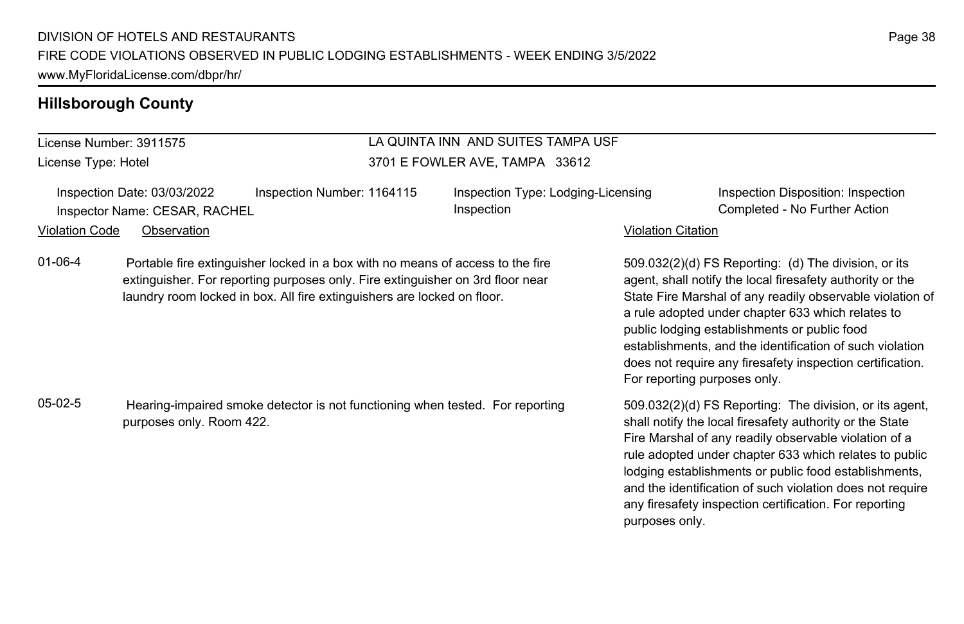# License Number: 3911575

License Type: Hotel

# LA QUINTA INN AND SUITES TAMPA USF 3701 E FOWLER AVE, TAMPA 33612

Inspection Date: 03/03/2022 Inspection Number: 1164115 Inspection Type: Lodging-Licensing Inspector Name: CESAR, RACHEL **Completed - No Further Action** Completed - No Further Action

Inspection

Inspection Disposition: Inspection

509.032(2)(d) FS Reporting: (d) The division, or its agent, shall notify the local firesafety authority or the State Fire Marshal of any readily observable violation of a rule adopted under chapter 633 which relates to public lodging establishments or public food establishments, and the identification of such violation does not require any firesafety inspection certification. For reporting purposes only.

509.032(2)(d) FS Reporting: The division, or its agent, shall notify the local firesafety authority or the State Fire Marshal of any readily observable violation of a rule adopted under chapter 633 which relates to public lodging establishments or public food establishments, and the identification of such violation does not require any firesafety inspection certification. For reporting purposes only.

# Violation Code Observation **Violation Code** Observation **Violation** Violation Citation Citation Citation Citation

01-06-4 Portable fire extinguisher locked in a box with no means of access to the fire extinguisher. For reporting purposes only. Fire extinguisher on 3rd floor near laundry room locked in box. All fire extinguishers are locked on floor.

05-02-5 Hearing-impaired smoke detector is not functioning when tested. For reporting purposes only. Room 422.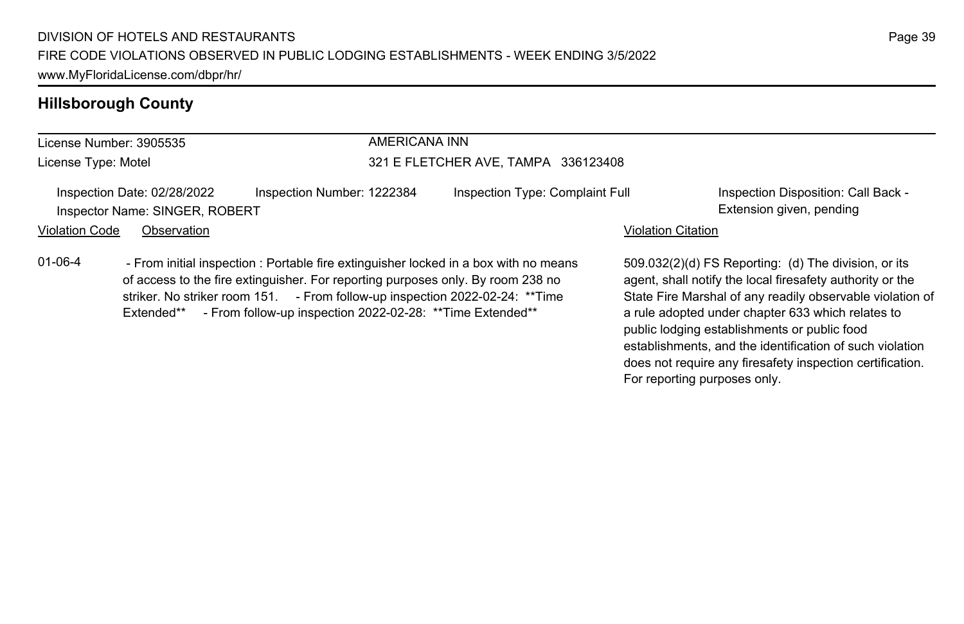#### License Number: 3905535 License Type: Motel AMERICANA INN 321 E FLETCHER AVE, TAMPA 336123408 Inspection Date: 02/28/2022 Inspection Number: 1222384 Inspection Type: Complaint Full Inspection Disposition: Call Back -Inspector Name: SINGER, ROBERT **Extension given, pending** Violation Code Observation **Violation Code** Observation **Violation** Violation Citation Citation Citation Citation 509.032(2)(d) FS Reporting: (d) The division, or its agent, shall notify the local firesafety authority or the State Fire Marshal of any readily observable violation of a rule adopted under chapter 633 which relates to 01-06-4 - From initial inspection : Portable fire extinguisher locked in a box with no means of access to the fire extinguisher. For reporting purposes only. By room 238 no striker. No striker room 151. - From follow-up inspection 2022-02-24: \*\*Time Extended\*\* - From follow-up inspection 2022-02-28: \*\* Time Extended\*\*

Page 39

public lodging establishments or public food

For reporting purposes only.

establishments, and the identification of such violation does not require any firesafety inspection certification.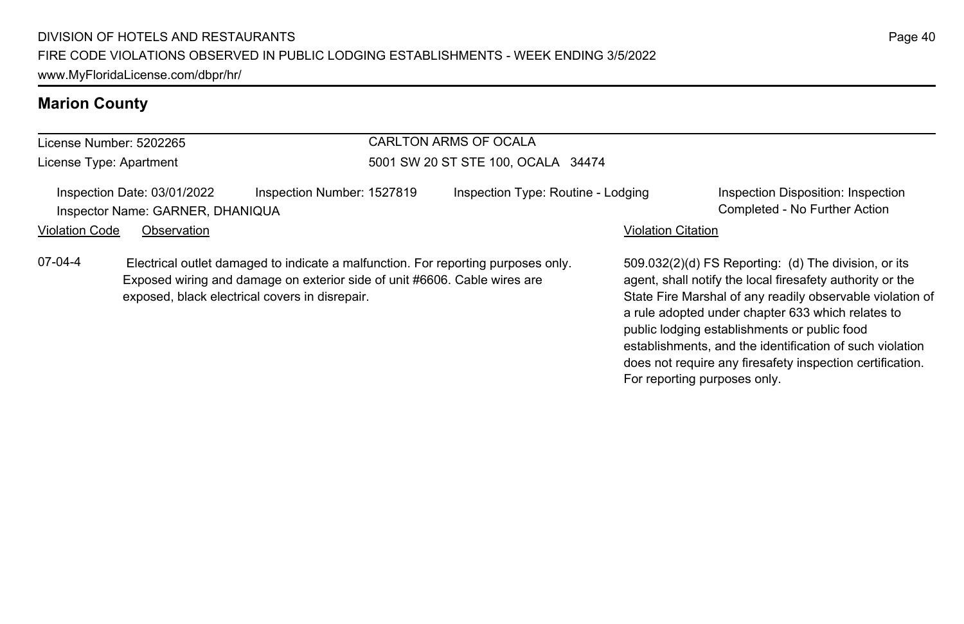# **Marion County**

| License Number: 5202265<br>License Type: Apartment                                                                                                                                                                          |                                                                 |                            | CARLTON ARMS OF OCALA              |                                                                                                                                                                                                                                     |                                                                     |
|-----------------------------------------------------------------------------------------------------------------------------------------------------------------------------------------------------------------------------|-----------------------------------------------------------------|----------------------------|------------------------------------|-------------------------------------------------------------------------------------------------------------------------------------------------------------------------------------------------------------------------------------|---------------------------------------------------------------------|
|                                                                                                                                                                                                                             |                                                                 |                            | 5001 SW 20 ST STE 100, OCALA 34474 |                                                                                                                                                                                                                                     |                                                                     |
|                                                                                                                                                                                                                             | Inspection Date: 03/01/2022<br>Inspector Name: GARNER, DHANIQUA | Inspection Number: 1527819 | Inspection Type: Routine - Lodging |                                                                                                                                                                                                                                     | Inspection Disposition: Inspection<br>Completed - No Further Action |
| Violation Code                                                                                                                                                                                                              | Observation                                                     |                            |                                    | Violation Citation                                                                                                                                                                                                                  |                                                                     |
| 07-04-4<br>Electrical outlet damaged to indicate a malfunction. For reporting purposes only.<br>Exposed wiring and damage on exterior side of unit #6606. Cable wires are<br>exposed, black electrical covers in disrepair. |                                                                 |                            |                                    | 509.032(2)(d) FS Reporting: (d) The division, or its<br>agent, shall notify the local firesafety authority or the<br>State Fire Marshal of any readily observable violation of<br>a rule adopted under chapter 633 which relates to |                                                                     |

public lodging establishments or public food

For reporting purposes only.

establishments, and the identification of such violation does not require any firesafety inspection certification.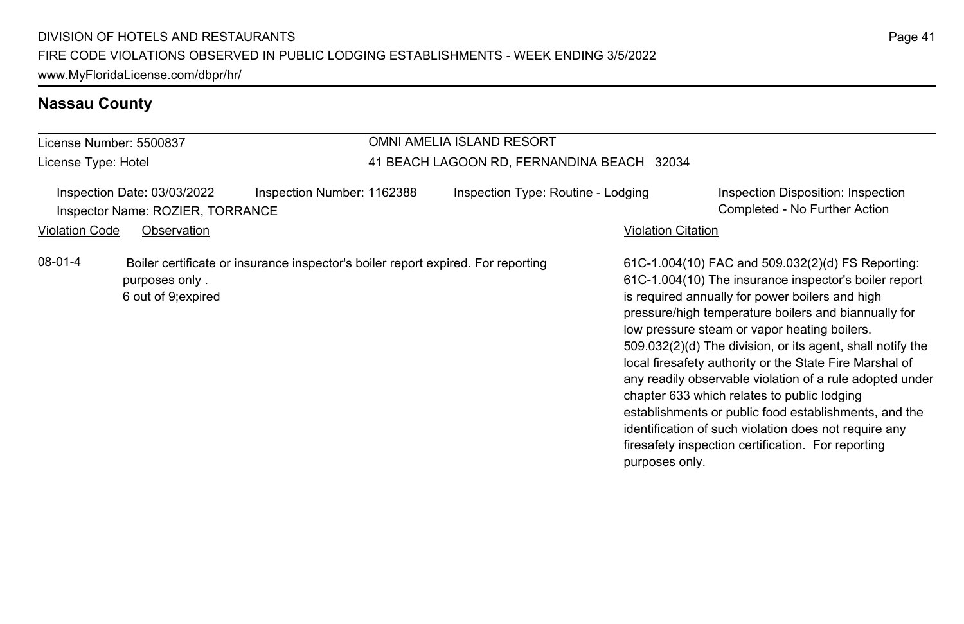# **Nassau County**

#### License Number: 5500837 License Type: Hotel OMNI AMELIA ISLAND RESORT 41 BEACH LAGOON RD, FERNANDINA BEACH 32034 Inspection Date: 03/03/2022 Inspection Number: 1162388 Inspection Type: Routine - Lodging Inspection Disposition: Inspection Inspector Name: ROZIER, TORRANCE Completed - No Further Action Violation Code Observation **Violation Code** Observation **Violation** Violation Citation Citation Citation Citation 61C-1.004(10) FAC and 509.032(2)(d) FS Reporting: 61C-1.004(10) The insurance inspector's boiler report is required annually for power boilers and high pressure/high temperature boilers and biannually for low pressure steam or vapor heating boilers. 509.032(2)(d) The division, or its agent, shall notify the local firesafety authority or the State Fire Marshal of any readily observable violation of a rule adopted under chapter 633 which relates to public lodging establishments or public food establishments, and the identification of such violation does not require any firesafety inspection certification. For reporting purposes only. 08-01-4 Boiler certificate or insurance inspector's boiler report expired. For reporting purposes only . 6 out of 9;expired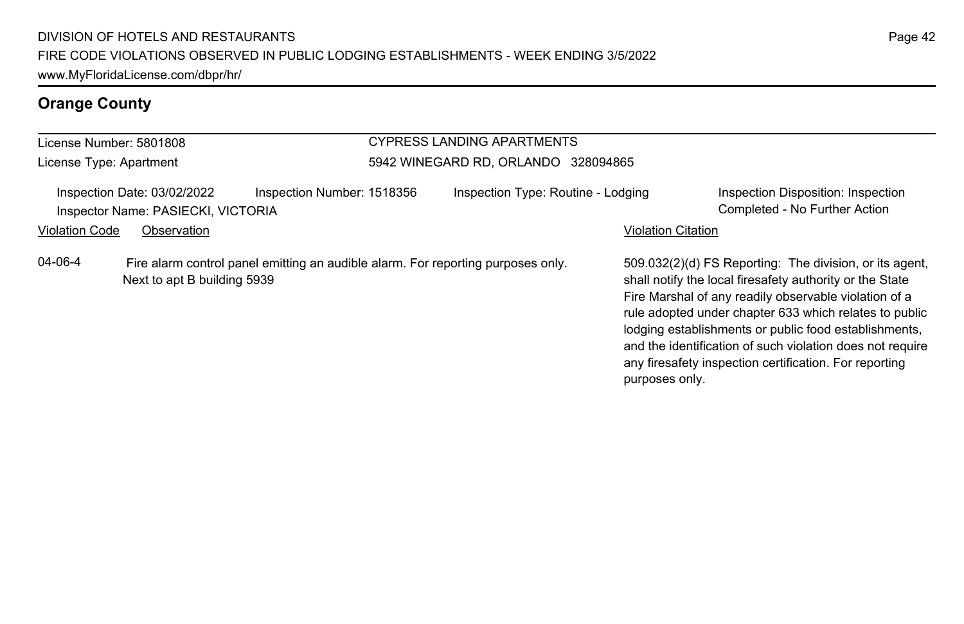# **Orange County**

#### License Number: 5801808 License Type: Apartment CYPRESS LANDING APARTMENTS 5942 WINEGARD RD, ORLANDO 328094865 Inspection Date: 03/02/2022 Inspection Number: 1518356 Inspection Type: Routine - Lodging Inspection Disposition: Inspection Inspector Name: PASIECKI, VICTORIA Completed - No Further Action Violation Code Observation **Violation Code** Observation **Violation** Violation Citation Citation **Violation** 509.032(2)(d) FS Reporting: The division, or its agent, shall notify the local firesafety authority or the State Fire Marshal of any readily observable violation of a rule adopted under chapter 633 which relates to public lodging establishments or public food establishments, 04-06-4 Fire alarm control panel emitting an audible alarm. For reporting purposes only. Next to apt B building 5939

and the identification of such violation does not require any firesafety inspection certification. For reporting

purposes only.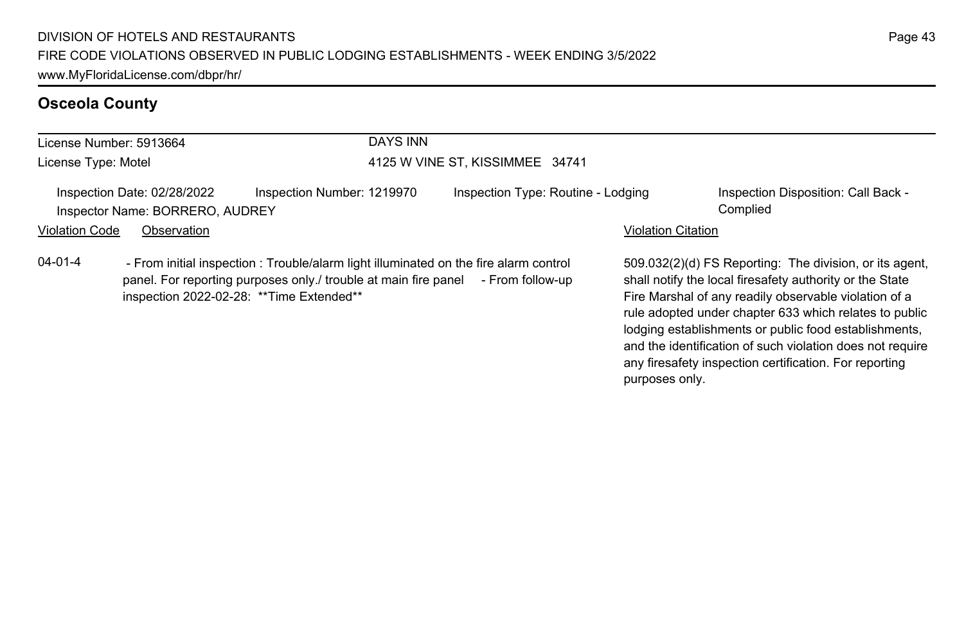|                                                                | License Number: 5913664 | DAYS INN                                                                                                                                                                                                               |                                    |                           |                                                                                                                                                                                                                                        |  |
|----------------------------------------------------------------|-------------------------|------------------------------------------------------------------------------------------------------------------------------------------------------------------------------------------------------------------------|------------------------------------|---------------------------|----------------------------------------------------------------------------------------------------------------------------------------------------------------------------------------------------------------------------------------|--|
| License Type: Motel                                            |                         |                                                                                                                                                                                                                        | 4125 W VINE ST, KISSIMMEE 34741    |                           |                                                                                                                                                                                                                                        |  |
| Inspection Date: 02/28/2022<br>Inspector Name: BORRERO, AUDREY |                         | Inspection Number: 1219970                                                                                                                                                                                             | Inspection Type: Routine - Lodging |                           | Inspection Disposition: Call Back -<br>Complied                                                                                                                                                                                        |  |
| <b>Violation Code</b>                                          | Observation             |                                                                                                                                                                                                                        |                                    | <b>Violation Citation</b> |                                                                                                                                                                                                                                        |  |
| $04 - 01 - 4$                                                  |                         | - From initial inspection : Trouble/alarm light illuminated on the fire alarm control<br>panel. For reporting purposes only./ trouble at main fire panel - From follow-up<br>inspection 2022-02-28: ** Time Extended** |                                    |                           | 509.032(2)(d) FS Reporting: The division, or its agent,<br>shall notify the local firesafety authority or the State<br>Fire Marshal of any readily observable violation of a<br>rule adopted under ebenter 622 which relates to public |  |

rule adopted under chapter 633 which relates to public lodging establishments or public food establishments, and the identification of such violation does not require any firesafety inspection certification. For reporting

purposes only.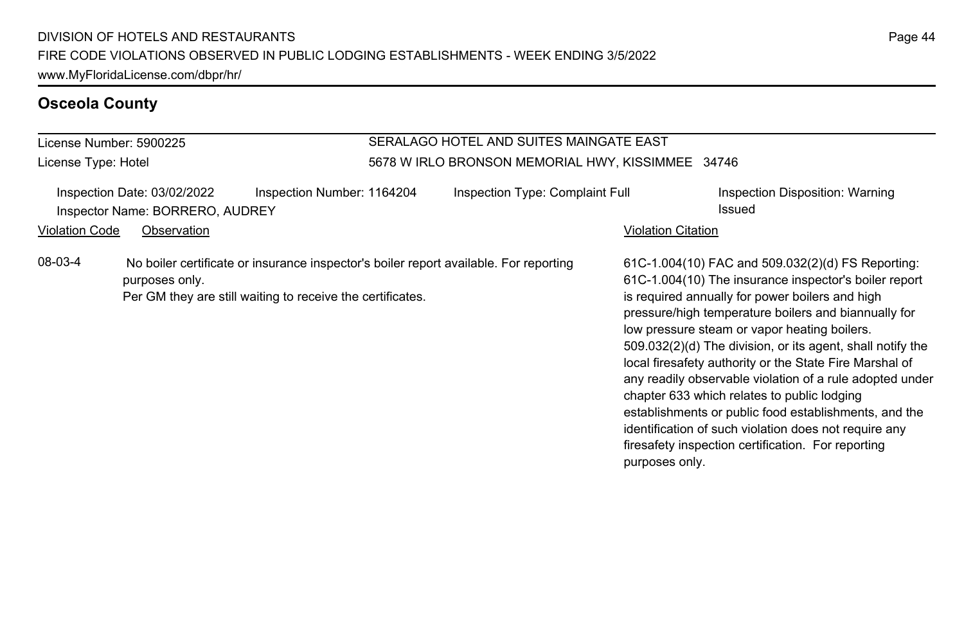#### License Number: 5900225 License Type: Hotel SERALAGO HOTEL AND SUITES MAINGATE EAST 5678 W IRLO BRONSON MEMORIAL HWY, KISSIMMEE 34746 Inspection Date: 03/02/2022 Inspection Number: 1164204 Inspection Type: Complaint Full Inspection Disposition: Warning **Inspector Name: BORRERO, AUDREY ISSUED ISSUED AT A REAL PROPERTY ISSUED ISSUED ISSUED ISSUED ISSUED ISSUED ISSUED** Violation Code Observation **Violation Code** Observation **Violation** Violation Citation Citation Citation Citation 61C-1.004(10) FAC and 509.032(2)(d) FS Reporting: 61C-1.004(10) The insurance inspector's boiler report is required annually for power boilers and high pressure/high temperature boilers and biannually for low pressure steam or vapor heating boilers. 509.032(2)(d) The division, or its agent, shall notify the local firesafety authority or the State Fire Marshal of any readily observable violation of a rule adopted under chapter 633 which relates to public lodging establishments or public food establishments, and the identification of such violation does not require any firesafety inspection certification. For reporting purposes only. 08-03-4 No boiler certificate or insurance inspector's boiler report available. For reporting purposes only. Per GM they are still waiting to receive the certificates.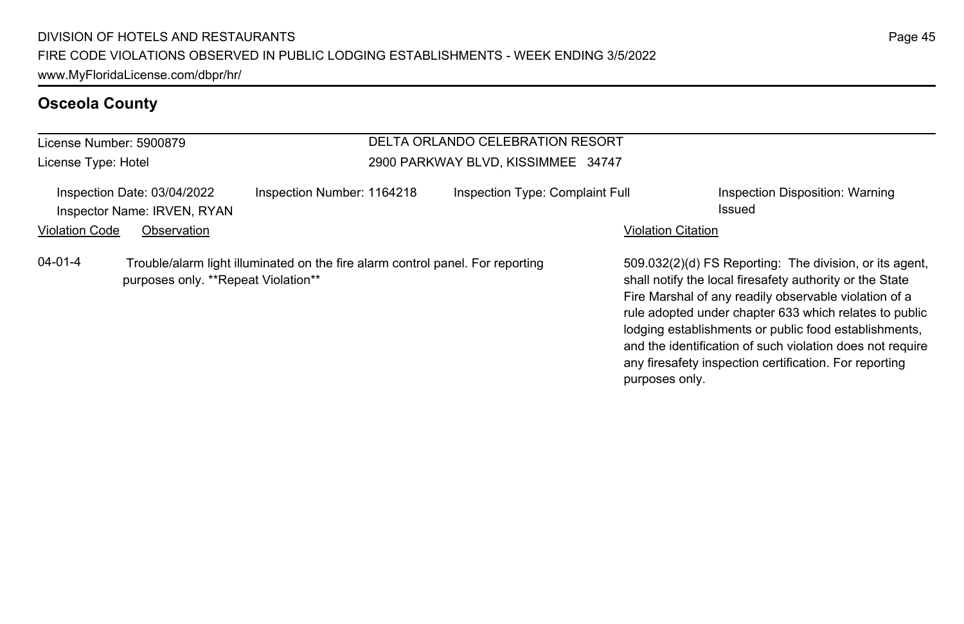#### License Number: 5900879 License Type: Hotel DELTA ORLANDO CELEBRATION RESORT 2900 PARKWAY BLVD, KISSIMMEE 34747 Inspection Date: 03/04/2022 Inspection Number: 1164218 Inspection Type: Complaint Full Inspection Disposition: Warning Inspector Name: IRVEN, RYAN issued Violation Code Observation **Violation Code** Observation **Violation** Violation Citation Citation **Violation** 509.032(2)(d) FS Reporting: The division, or its agent, shall notify the local firesafety authority or the State Fire Marshal of any readily observable violation of a rule adopted under chapter 633 which relates to public lodging establishments or public food establishments, 04-01-4 Trouble/alarm light illuminated on the fire alarm control panel. For reporting purposes only. \*\*Repeat Violation\*\*

and the identification of such violation does not require any firesafety inspection certification. For reporting

purposes only.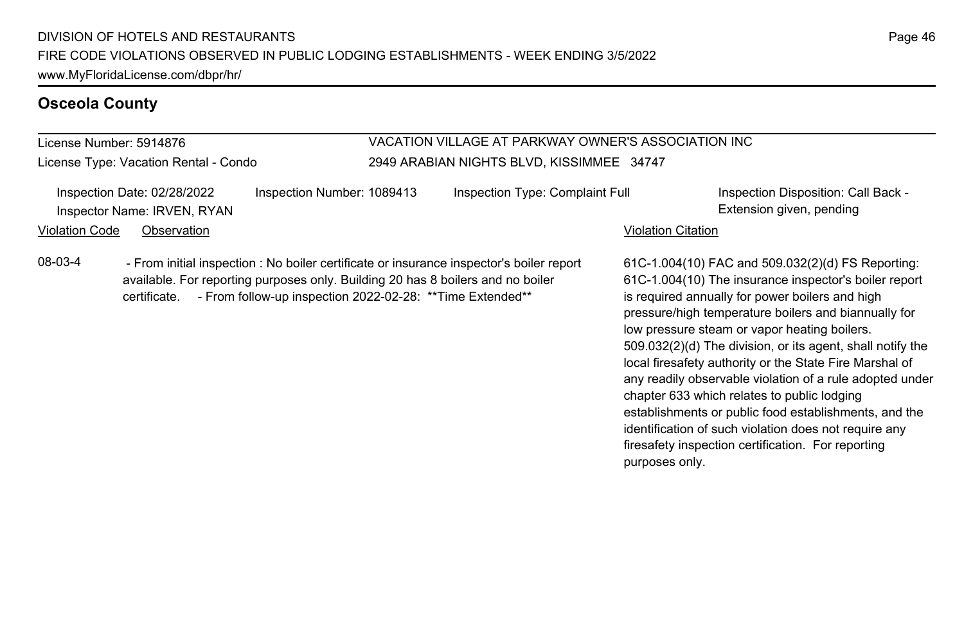License Number: 5914876

License Type: Vacation Rental - Condo

# VACATION VILLAGE AT PARKWAY OWNER'S ASSOCIATION INC 2949 ARABIAN NIGHTS BLVD, KISSIMMEE 34747

|                       | Inspection Date: 02/28/2022<br>Inspector Name: IRVEN, RYAN | Inspection Number: 1089413                                                                                                                                                                                                                | Inspection Type: Complaint Full |                           | Inspection Disposition: Call Back -<br>Extension given, pending                                                                                                                                                                                                       |
|-----------------------|------------------------------------------------------------|-------------------------------------------------------------------------------------------------------------------------------------------------------------------------------------------------------------------------------------------|---------------------------------|---------------------------|-----------------------------------------------------------------------------------------------------------------------------------------------------------------------------------------------------------------------------------------------------------------------|
| <b>Violation Code</b> | Observation                                                |                                                                                                                                                                                                                                           |                                 | <b>Violation Citation</b> |                                                                                                                                                                                                                                                                       |
| 08-03-4               | certificate.                                               | - From initial inspection : No boiler certificate or insurance inspector's boiler report<br>available. For reporting purposes only. Building 20 has 8 boilers and no boiler<br>- From follow-up inspection 2022-02-28: ** Time Extended** |                                 |                           | 61C-1.004(10) FAC and 509.032(2)(d) FS Reporting:<br>61C-1.004(10) The insurance inspector's boiler report<br>is required annually for power boilers and high<br>pressure/high temperature boilers and biannually for<br>low pressure steam or vapor heating boilers. |

509.032(2)(d) The division, or its agent, shall notify the local firesafety authority or the State Fire Marshal of any readily observable violation of a rule adopted under

establishments or public food establishments, and the identification of such violation does not require any firesafety inspection certification. For reporting

chapter 633 which relates to public lodging

purposes only.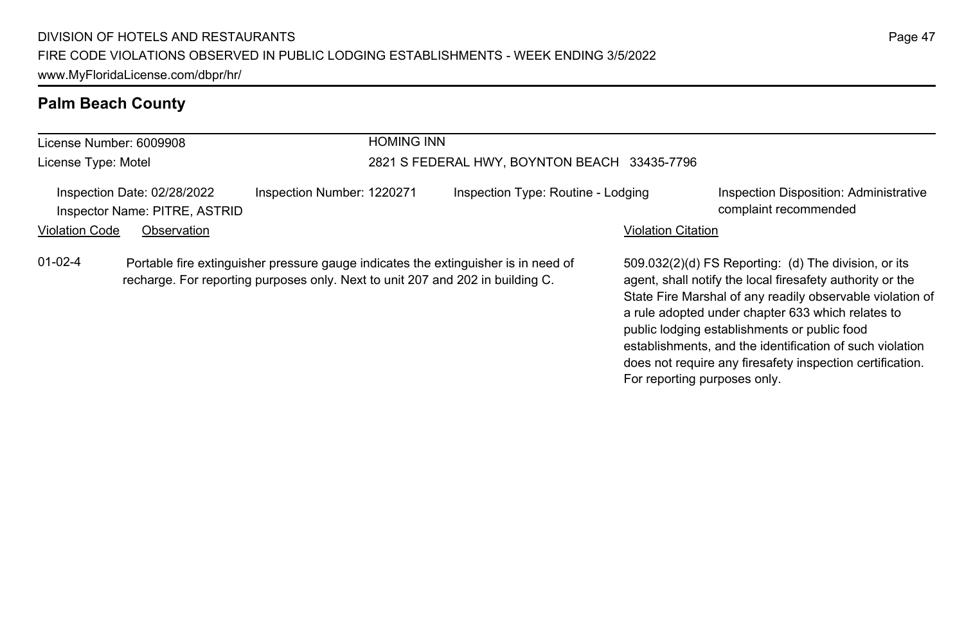# **Palm Beach County**

#### License Number: 6009908 License Type: Motel HOMING INN 2821 S FEDERAL HWY, BOYNTON BEACH 33435-7796 Inspection Date: 02/28/2022 Inspection Number: 1220271 Inspection Type: Routine - Lodging Inspection Disposition: Administrative Inspector Name: PITRE, ASTRID complaint recommended Violation Code Observation **Violation Code** Observation **Violation** Violation Citation Citation **Violation** 509.032(2)(d) FS Reporting: (d) The division, or its agent, shall notify the local firesafety authority or the State Fire Marshal of any readily observable violation of a rule adopted under chapter 633 which relates to public lodging establishments or public food establishments, and the identification of such violation does not require any firesafety inspection certification. 01-02-4 Portable fire extinguisher pressure gauge indicates the extinguisher is in need of recharge. For reporting purposes only. Next to unit 207 and 202 in building C.

For reporting purposes only.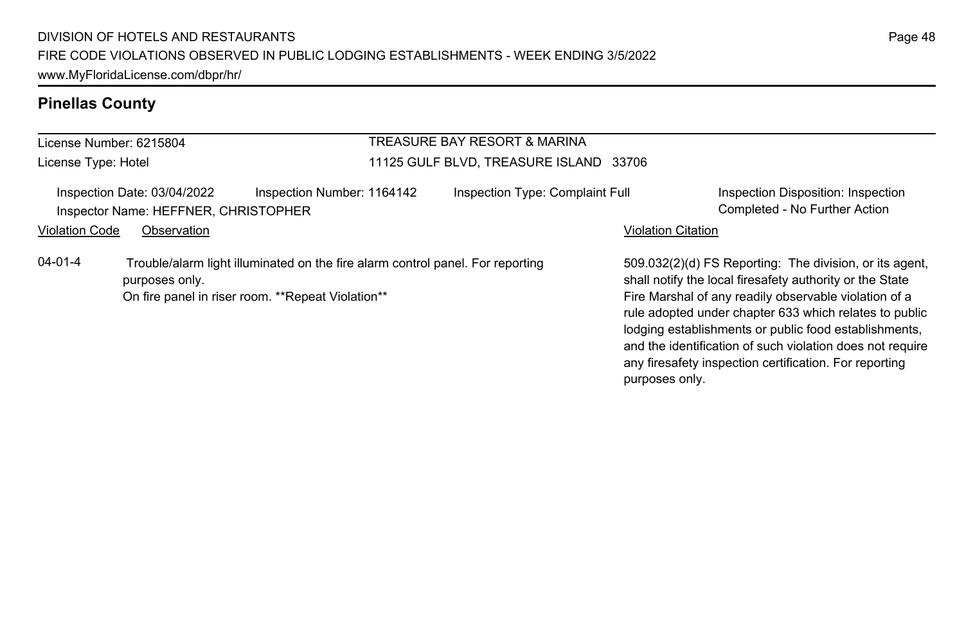# **Pinellas County**

License Number: 6215804 License Type: Hotel

# TREASURE BAY RESORT & MARINA 11125 GULF BLVD, TREASURE ISLAND 33706

Inspection Date: 03/04/2022 Inspection Number: 1164142 Inspection Type: Complaint Full Inspection Disposition: Inspection Inspector Name: HEFFNER, CHRISTOPHER COMPLETED FOR COMPLETED SAME COMPLETED FOR THE COMPLETED FOR THE COMPLETED FOR THE COMPLETED FOR THE COMPLETED FOR COMPLETED FOR COMPLETED FOR COMPLETED FOR COMPLETED FOR COMPLETED FOR

Violation Code Observation **Violation Code** Observation **Violation** Violation Citation Citation **Violation** 

04-01-4 Trouble/alarm light illuminated on the fire alarm control panel. For reporting purposes only. On fire panel in riser room. \*\*Repeat Violation\*\*

509.032(2)(d) FS Reporting: The division, or its agent, shall notify the local firesafety authority or the State Fire Marshal of any readily observable violation of a rule adopted under chapter 633 which relates to public lodging establishments or public food establishments, and the identification of such violation does not require any firesafety inspection certification. For reporting purposes only.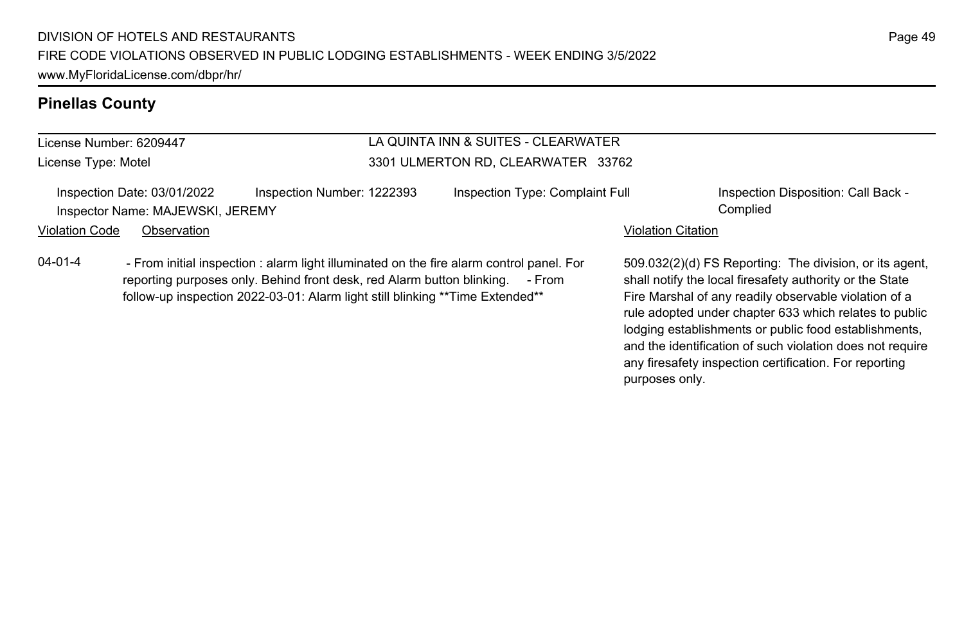# **Pinellas County**

# License Number: 6209447

License Type: Motel

# LA QUINTA INN & SUITES - CLEARWATER 3301 ULMERTON RD, CLEARWATER 33762

|                               | Inspection Date: 03/01/2022      | Inspection Number: 1222393 | Inspection Type: Complaint Full | Inspection Disposition: Call Back - |
|-------------------------------|----------------------------------|----------------------------|---------------------------------|-------------------------------------|
|                               | Inspector Name: MAJEWSKI, JEREMY |                            |                                 | Complied                            |
| Violation Code<br>Observation |                                  | Violation Citation         |                                 |                                     |
|                               |                                  |                            |                                 |                                     |

04-01-4 - From initial inspection : alarm light illuminated on the fire alarm control panel. For reporting purposes only. Behind front desk, red Alarm button blinking. - From follow-up inspection 2022-03-01: Alarm light still blinking \*\*Time Extended\*\*

509.032(2)(d) FS Reporting: The division, or its agent, shall notify the local firesafety authority or the State Fire Marshal of any readily observable violation of a rule adopted under chapter 633 which relates to public lodging establishments or public food establishments, and the identification of such violation does not require any firesafety inspection certification. For reporting purposes only.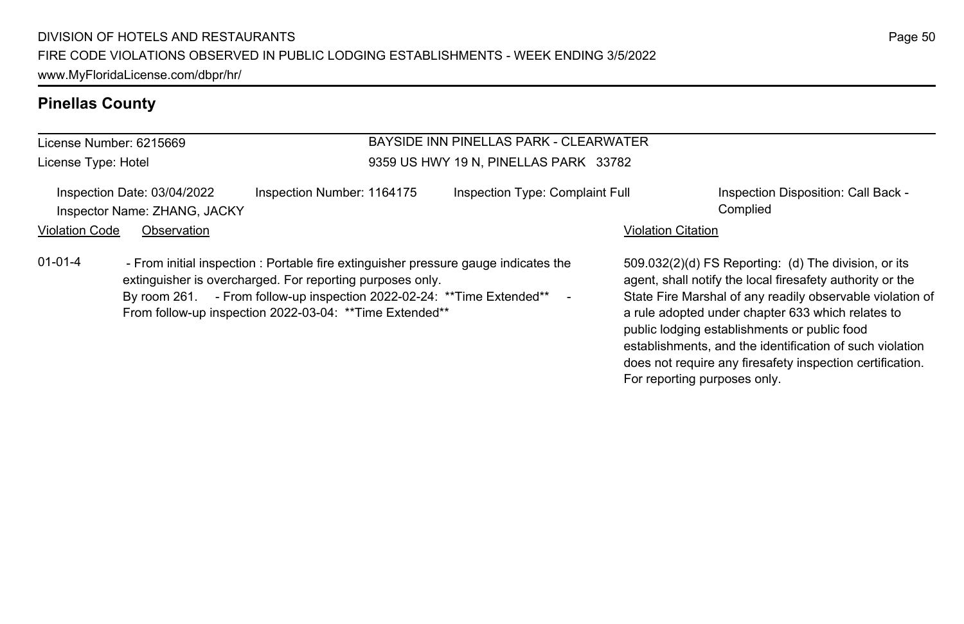# **Pinellas County**

#### License Number: 6215669 License Type: Hotel BAYSIDE INN PINELLAS PARK - CLEARWATER 9359 US HWY 19 N, PINELLAS PARK 33782 Inspection Date: 03/04/2022 Inspection Number: 1164175 Inspection Type: Complaint Full Inspection Disposition: Call Back -Inspector Name: ZHANG, JACKY Complied Violation Code Observation **Violation Code** Observation **Violation** Violation Citation Citation **Violation** 509.032(2)(d) FS Reporting: (d) The division, or its agent, shall notify the local firesafety authority or the State Fire Marshal of any readily observable violation of a rule adopted under chapter 633 which relates to public lodging establishments or public food 01-01-4 - From initial inspection : Portable fire extinguisher pressure gauge indicates the extinguisher is overcharged. For reporting purposes only. By room 261. - From follow-up inspection 2022-02-24: \*\* Time Extended\*\* -From follow-up inspection 2022-03-04: \*\*Time Extended\*\*

Page 50

establishments, and the identification of such violation does not require any firesafety inspection certification.

For reporting purposes only.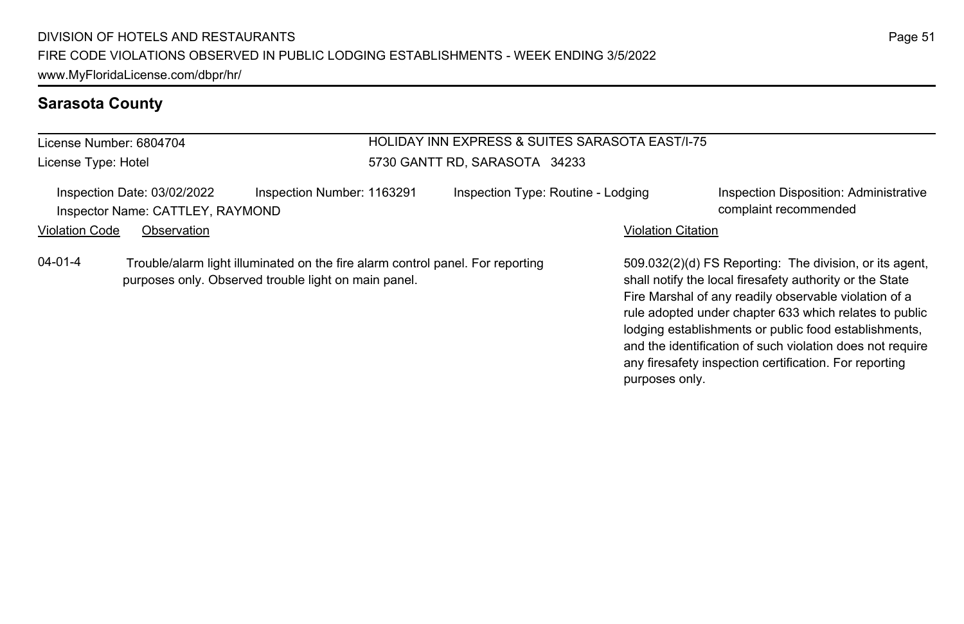# **Sarasota County**

#### License Number: 6804704 License Type: Hotel HOLIDAY INN EXPRESS & SUITES SARASOTA EAST/I-75 5730 GANTT RD, SARASOTA 34233 Inspection Date: 03/02/2022 Inspection Number: 1163291 Inspection Type: Routine - Lodging Inspection Disposition: Administrative Inspector Name: CATTLEY, RAYMOND complaint recommended Violation Code Observation **Violation Code** Observation **Violation** Violation Citation Citation **Violation** 509.032(2)(d) FS Reporting: The division, or its agent, shall notify the local firesafety authority or the State 04-01-4 Trouble/alarm light illuminated on the fire alarm control panel. For reporting purposes only. Observed trouble light on main panel.

Fire Marshal of any readily observable violation of a rule adopted under chapter 633 which relates to public lodging establishments or public food establishments, and the identification of such violation does not require any firesafety inspection certification. For reporting purposes only.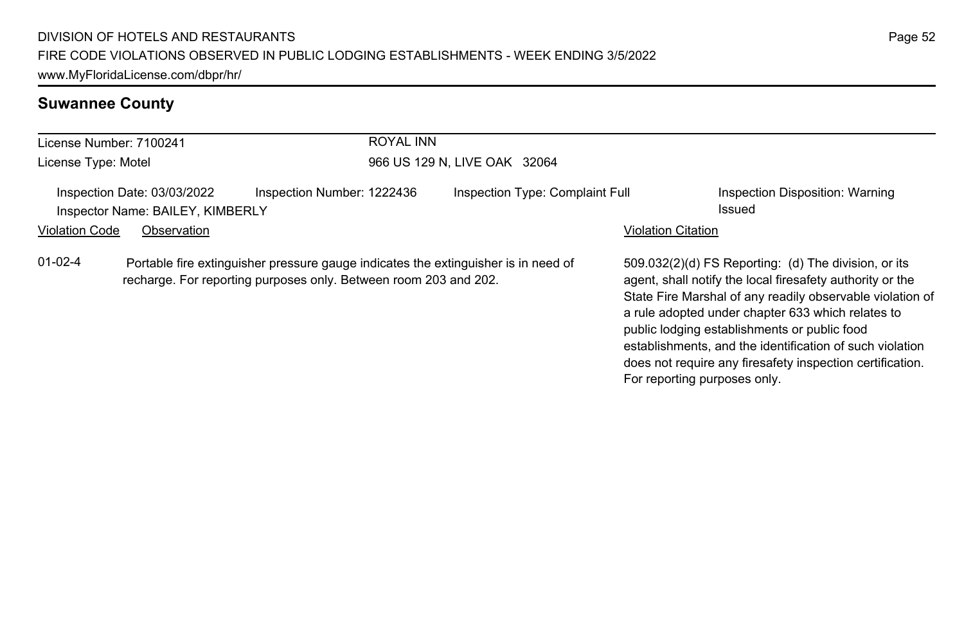# **Suwannee County**

| License Number: 7100241                                         |                                                                                                                                                        | <b>ROYAL INN</b>           |                                 |                              |                                                                                                                                                                                                                                                                                                                                                                                                              |  |
|-----------------------------------------------------------------|--------------------------------------------------------------------------------------------------------------------------------------------------------|----------------------------|---------------------------------|------------------------------|--------------------------------------------------------------------------------------------------------------------------------------------------------------------------------------------------------------------------------------------------------------------------------------------------------------------------------------------------------------------------------------------------------------|--|
| License Type: Motel                                             |                                                                                                                                                        |                            | 966 US 129 N, LIVE OAK 32064    |                              |                                                                                                                                                                                                                                                                                                                                                                                                              |  |
| Inspection Date: 03/03/2022<br>Inspector Name: BAILEY, KIMBERLY |                                                                                                                                                        | Inspection Number: 1222436 | Inspection Type: Complaint Full |                              | Inspection Disposition: Warning<br>Issued                                                                                                                                                                                                                                                                                                                                                                    |  |
| <b>Violation Code</b>                                           | Observation                                                                                                                                            |                            |                                 | <b>Violation Citation</b>    |                                                                                                                                                                                                                                                                                                                                                                                                              |  |
| $01 - 02 - 4$                                                   | Portable fire extinguisher pressure gauge indicates the extinguisher is in need of<br>recharge. For reporting purposes only. Between room 203 and 202. |                            |                                 | For reporting purposes only. | 509.032(2)(d) FS Reporting: (d) The division, or its<br>agent, shall notify the local firesafety authority or the<br>State Fire Marshal of any readily observable violation of<br>a rule adopted under chapter 633 which relates to<br>public lodging establishments or public food<br>establishments, and the identification of such violation<br>does not require any firesafety inspection certification. |  |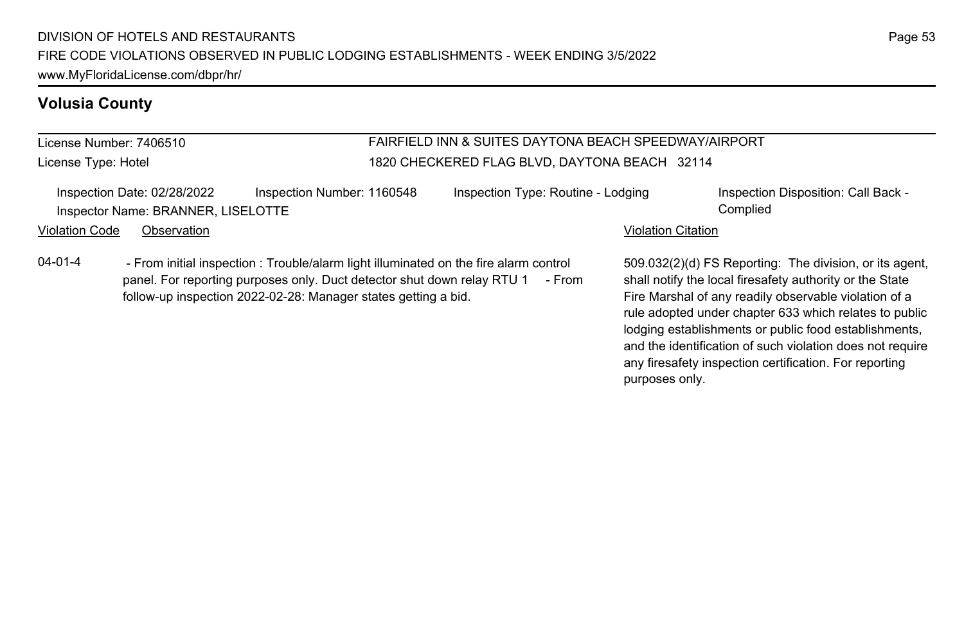# License Number: 7406510

License Type: Hotel

# FAIRFIELD INN & SUITES DAYTONA BEACH SPEEDWAY/AIRPORT 1820 CHECKERED FLAG BLVD, DAYTONA BEACH 32114

|                | Inspection Date: 02/28/2022        | Inspection Number: 1160548 | Inspection Type: Routine - Lodging | Inspection Disposition: Call Back - |
|----------------|------------------------------------|----------------------------|------------------------------------|-------------------------------------|
|                | Inspector Name: BRANNER, LISELOTTE |                            |                                    | Complied                            |
| Violation Code | Observation                        |                            | <b>Violation Citation</b>          |                                     |
| .              |                                    |                            |                                    |                                     |

04-01-4 - From initial inspection : Trouble/alarm light illuminated on the fire alarm control panel. For reporting purposes only. Duct detector shut down relay RTU 1 - From follow-up inspection 2022-02-28: Manager states getting a bid.

509.032(2)(d) FS Reporting: The division, or its agent, shall notify the local firesafety authority or the State Fire Marshal of any readily observable violation of a rule adopted under chapter 633 which relates to public lodging establishments or public food establishments, and the identification of such violation does not require any firesafety inspection certification. For reporting purposes only.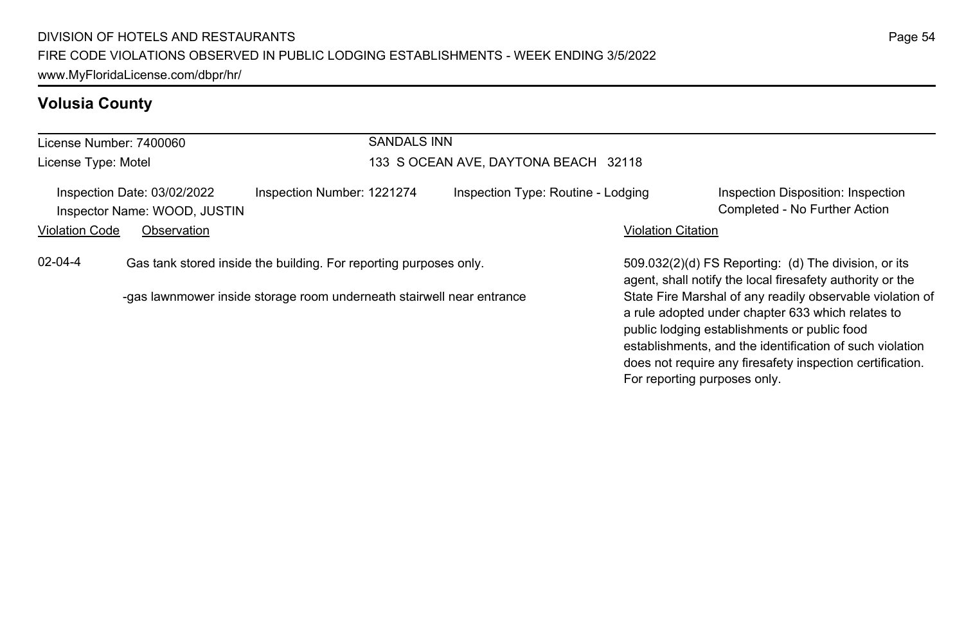| License Number: 7400060                                                                                                                                     |                                                             | <b>SANDALS INN</b>         |                                      |                                                                                                                                                                                                                            |                                                                                                                   |  |  |
|-------------------------------------------------------------------------------------------------------------------------------------------------------------|-------------------------------------------------------------|----------------------------|--------------------------------------|----------------------------------------------------------------------------------------------------------------------------------------------------------------------------------------------------------------------------|-------------------------------------------------------------------------------------------------------------------|--|--|
| License Type: Motel                                                                                                                                         |                                                             |                            | 133 S OCEAN AVE, DAYTONA BEACH 32118 |                                                                                                                                                                                                                            |                                                                                                                   |  |  |
|                                                                                                                                                             | Inspection Date: 03/02/2022<br>Inspector Name: WOOD, JUSTIN | Inspection Number: 1221274 | Inspection Type: Routine - Lodging   |                                                                                                                                                                                                                            | Inspection Disposition: Inspection<br>Completed - No Further Action                                               |  |  |
| <b>Violation Code</b>                                                                                                                                       | Observation                                                 |                            |                                      | <b>Violation Citation</b>                                                                                                                                                                                                  |                                                                                                                   |  |  |
| $02 - 04 - 4$<br>Gas tank stored inside the building. For reporting purposes only.<br>-gas lawnmower inside storage room underneath stairwell near entrance |                                                             |                            |                                      |                                                                                                                                                                                                                            | 509.032(2)(d) FS Reporting: (d) The division, or its<br>agent, shall notify the local firesafety authority or the |  |  |
|                                                                                                                                                             |                                                             |                            |                                      | State Fire Marshal of any readily observable violation of<br>a rule adopted under chapter 633 which relates to<br>public lodging establishments or public food<br>establishments, and the identification of such violation |                                                                                                                   |  |  |

Page 54

does not require any firesafety inspection certification.

For reporting purposes only.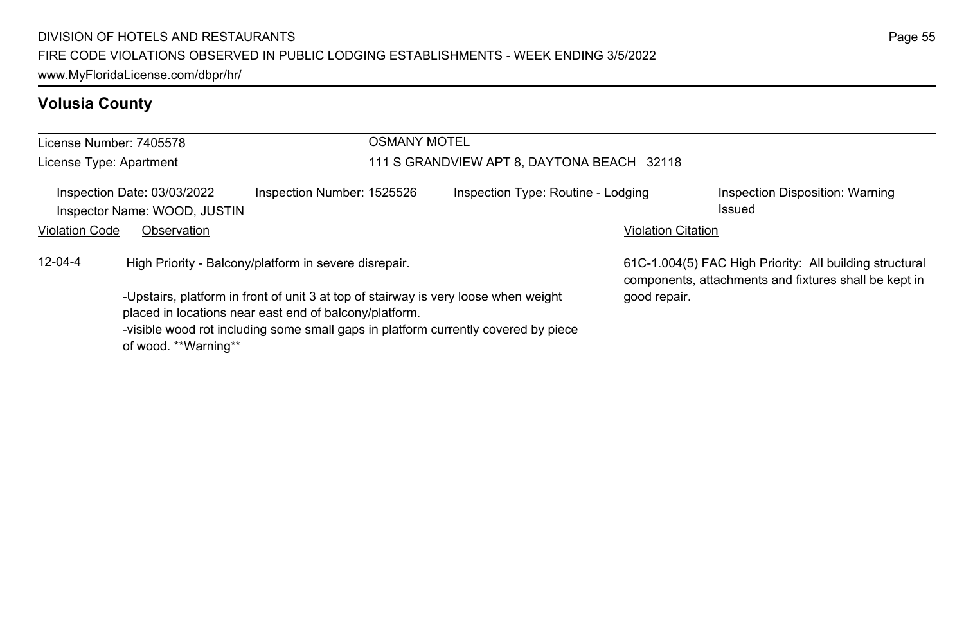| License Number: 7405578 |                                                                                                                                                                                                                                                                                                                      |                            | <b>OSMANY MOTEL</b>                        |                                                                                                                                  |                                           |  |  |
|-------------------------|----------------------------------------------------------------------------------------------------------------------------------------------------------------------------------------------------------------------------------------------------------------------------------------------------------------------|----------------------------|--------------------------------------------|----------------------------------------------------------------------------------------------------------------------------------|-------------------------------------------|--|--|
| License Type: Apartment |                                                                                                                                                                                                                                                                                                                      |                            | 111 S GRANDVIEW APT 8, DAYTONA BEACH 32118 |                                                                                                                                  |                                           |  |  |
| <b>Violation Code</b>   | Inspection Date: 03/03/2022<br>Inspector Name: WOOD, JUSTIN<br>Observation                                                                                                                                                                                                                                           | Inspection Number: 1525526 | Inspection Type: Routine - Lodging         | <b>Violation Citation</b>                                                                                                        | Inspection Disposition: Warning<br>Issued |  |  |
| $12 - 04 - 4$           | High Priority - Balcony/platform in severe disrepair.<br>-Upstairs, platform in front of unit 3 at top of stairway is very loose when weight<br>placed in locations near east end of balcony/platform.<br>-visible wood rot including some small gaps in platform currently covered by piece<br>of wood. **Warning** |                            |                                            | 61C-1.004(5) FAC High Priority: All building structural<br>components, attachments and fixtures shall be kept in<br>good repair. |                                           |  |  |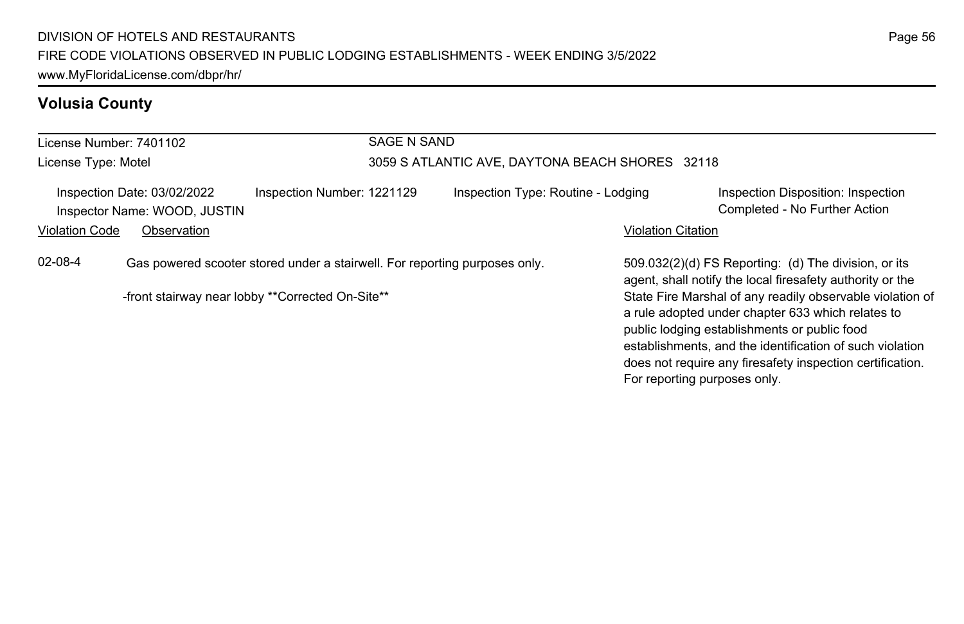| License Number: 7401102                                                                                                                   |                                                             |                            | <b>SAGE N SAND</b>                              |                                    |                                                                                                                   |                              |                                                                                                                                                                                                                                                                                         |
|-------------------------------------------------------------------------------------------------------------------------------------------|-------------------------------------------------------------|----------------------------|-------------------------------------------------|------------------------------------|-------------------------------------------------------------------------------------------------------------------|------------------------------|-----------------------------------------------------------------------------------------------------------------------------------------------------------------------------------------------------------------------------------------------------------------------------------------|
| License Type: Motel                                                                                                                       |                                                             |                            | 3059 S ATLANTIC AVE, DAYTONA BEACH SHORES 32118 |                                    |                                                                                                                   |                              |                                                                                                                                                                                                                                                                                         |
|                                                                                                                                           | Inspection Date: 03/02/2022<br>Inspector Name: WOOD, JUSTIN | Inspection Number: 1221129 |                                                 | Inspection Type: Routine - Lodging |                                                                                                                   |                              | Inspection Disposition: Inspection<br>Completed - No Further Action                                                                                                                                                                                                                     |
| <b>Violation Code</b>                                                                                                                     | Observation                                                 |                            |                                                 |                                    |                                                                                                                   | <b>Violation Citation</b>    |                                                                                                                                                                                                                                                                                         |
| 02-08-4<br>Gas powered scooter stored under a stairwell. For reporting purposes only.<br>-front stairway near lobby **Corrected On-Site** |                                                             |                            |                                                 |                                    | 509.032(2)(d) FS Reporting: (d) The division, or its<br>agent, shall notify the local firesafety authority or the |                              |                                                                                                                                                                                                                                                                                         |
|                                                                                                                                           |                                                             |                            |                                                 |                                    |                                                                                                                   | For reporting purposes only. | State Fire Marshal of any readily observable violation of<br>a rule adopted under chapter 633 which relates to<br>public lodging establishments or public food<br>establishments, and the identification of such violation<br>does not require any firesafety inspection certification. |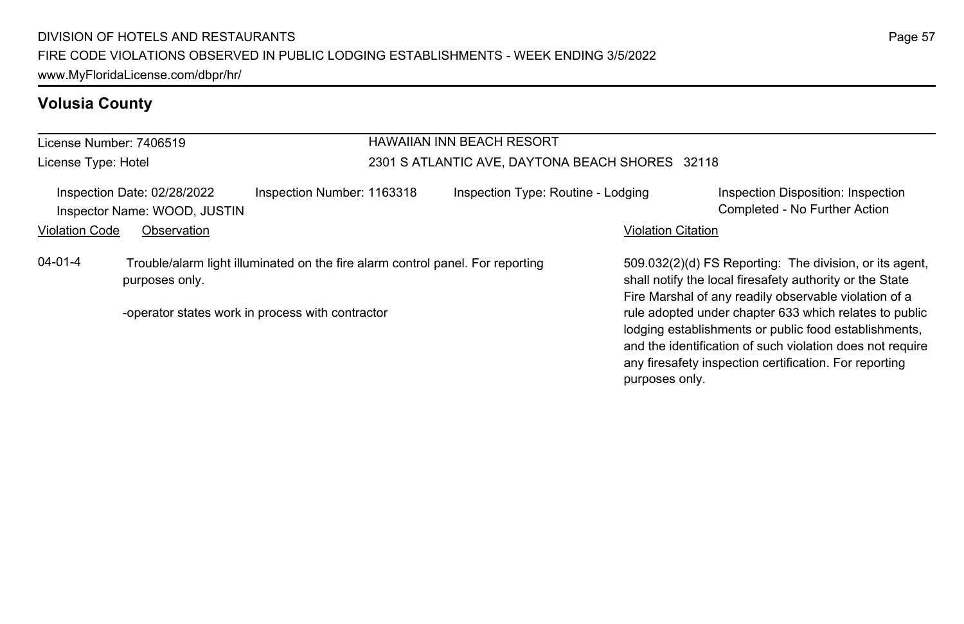|                                                             | License Number: 7406519 | <b>HAWAIIAN INN BEACH RESORT</b>                                               |                                                                                                                                                                              |                                                 |                                                                                                                                                                                                                                                          |  |  |
|-------------------------------------------------------------|-------------------------|--------------------------------------------------------------------------------|------------------------------------------------------------------------------------------------------------------------------------------------------------------------------|-------------------------------------------------|----------------------------------------------------------------------------------------------------------------------------------------------------------------------------------------------------------------------------------------------------------|--|--|
| License Type: Hotel                                         |                         |                                                                                |                                                                                                                                                                              | 2301 S ATLANTIC AVE, DAYTONA BEACH SHORES 32118 |                                                                                                                                                                                                                                                          |  |  |
| Inspection Date: 02/28/2022<br>Inspector Name: WOOD, JUSTIN |                         | Inspection Number: 1163318                                                     | Inspection Type: Routine - Lodging                                                                                                                                           |                                                 | Inspection Disposition: Inspection<br>Completed - No Further Action                                                                                                                                                                                      |  |  |
| <b>Violation Code</b>                                       | Observation             |                                                                                |                                                                                                                                                                              | <b>Violation Citation</b>                       |                                                                                                                                                                                                                                                          |  |  |
| $04 - 01 - 4$                                               | purposes only.          | Trouble/alarm light illuminated on the fire alarm control panel. For reporting | 509.032(2)(d) FS Reporting: The division, or its agent.<br>shall notify the local firesafety authority or the State<br>Fire Marshal of any readily observable violation of a |                                                 |                                                                                                                                                                                                                                                          |  |  |
|                                                             |                         | -operator states work in process with contractor                               |                                                                                                                                                                              |                                                 | rule adopted under chapter 633 which relates to public<br>lodging establishments or public food establishments,<br>and the identification of such violation does not require<br>any firesafety inspection certification. For reporting<br>purposes only. |  |  |